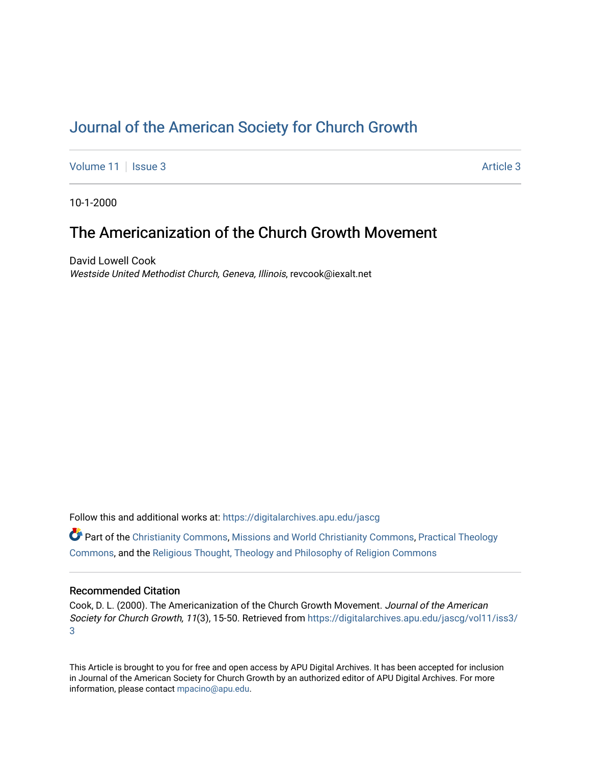# [Journal of the American Society for Church Growth](https://digitalarchives.apu.edu/jascg)

[Volume 11](https://digitalarchives.apu.edu/jascg/vol11) | [Issue 3](https://digitalarchives.apu.edu/jascg/vol11/iss3) Article 3

10-1-2000

# The Americanization of the Church Growth Movement

David Lowell Cook Westside United Methodist Church, Geneva, Illinois, revcook@iexalt.net

Follow this and additional works at: [https://digitalarchives.apu.edu/jascg](https://digitalarchives.apu.edu/jascg?utm_source=digitalarchives.apu.edu%2Fjascg%2Fvol11%2Fiss3%2F3&utm_medium=PDF&utm_campaign=PDFCoverPages) 

 $\bullet$  Part of the [Christianity Commons,](http://network.bepress.com/hgg/discipline/1181?utm_source=digitalarchives.apu.edu%2Fjascg%2Fvol11%2Fiss3%2F3&utm_medium=PDF&utm_campaign=PDFCoverPages) [Missions and World Christianity Commons](http://network.bepress.com/hgg/discipline/1187?utm_source=digitalarchives.apu.edu%2Fjascg%2Fvol11%2Fiss3%2F3&utm_medium=PDF&utm_campaign=PDFCoverPages), Practical Theology [Commons](http://network.bepress.com/hgg/discipline/1186?utm_source=digitalarchives.apu.edu%2Fjascg%2Fvol11%2Fiss3%2F3&utm_medium=PDF&utm_campaign=PDFCoverPages), and the [Religious Thought, Theology and Philosophy of Religion Commons](http://network.bepress.com/hgg/discipline/544?utm_source=digitalarchives.apu.edu%2Fjascg%2Fvol11%2Fiss3%2F3&utm_medium=PDF&utm_campaign=PDFCoverPages) 

# Recommended Citation

Cook, D. L. (2000). The Americanization of the Church Growth Movement. Journal of the American Society for Church Growth, 11(3), 15-50. Retrieved from [https://digitalarchives.apu.edu/jascg/vol11/iss3/](https://digitalarchives.apu.edu/jascg/vol11/iss3/3?utm_source=digitalarchives.apu.edu%2Fjascg%2Fvol11%2Fiss3%2F3&utm_medium=PDF&utm_campaign=PDFCoverPages) [3](https://digitalarchives.apu.edu/jascg/vol11/iss3/3?utm_source=digitalarchives.apu.edu%2Fjascg%2Fvol11%2Fiss3%2F3&utm_medium=PDF&utm_campaign=PDFCoverPages) 

This Article is brought to you for free and open access by APU Digital Archives. It has been accepted for inclusion in Journal of the American Society for Church Growth by an authorized editor of APU Digital Archives. For more information, please contact [mpacino@apu.edu](mailto:mpacino@apu.edu).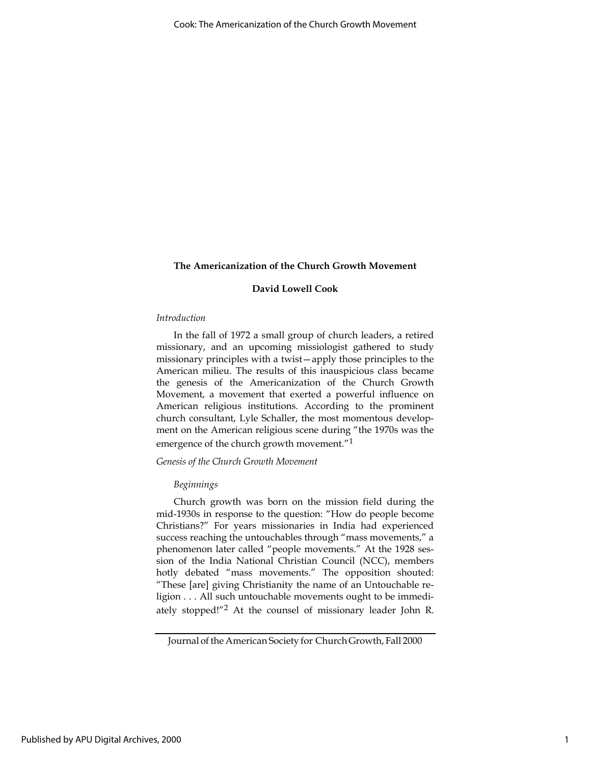# David Lowell Cook

#### Introduction

In the fall of 1972 a small group of church leaders, a retired missionary, and an upcoming missiologist gathered to study missionary principles with a twist—apply those principles to the American milieu. The results of this inauspicious class became the genesis of the Americanization of the Church Growth Movement, a movement that exerted a powerful influence on American religious institutions. According to the prominent church consultant, Lyle Schaller, the most momentous development on the American religious scene during "the 1970s was the emergence of the church growth movement."<sup>1</sup>

# Genesis of the Church Growth Movement

#### Beginnings

Church growth was born on the mission field during the mid-1930s in response to the question: "How do people become Christians?" For years missionaries in India had experienced success reaching the untouchables through "mass movements," a phenomenon later called "people movements." At the 1928 session of the India National Christian Council (NCC), members hotly debated "mass movements." The opposition shouted: "These [are] giving Christianity the name of an Untouchable religion . . . All such untouchable movements ought to be immediately stopped!"2 At the counsel of missionary leader John R.

Journal of the American Society for Church Growth, Fall 2000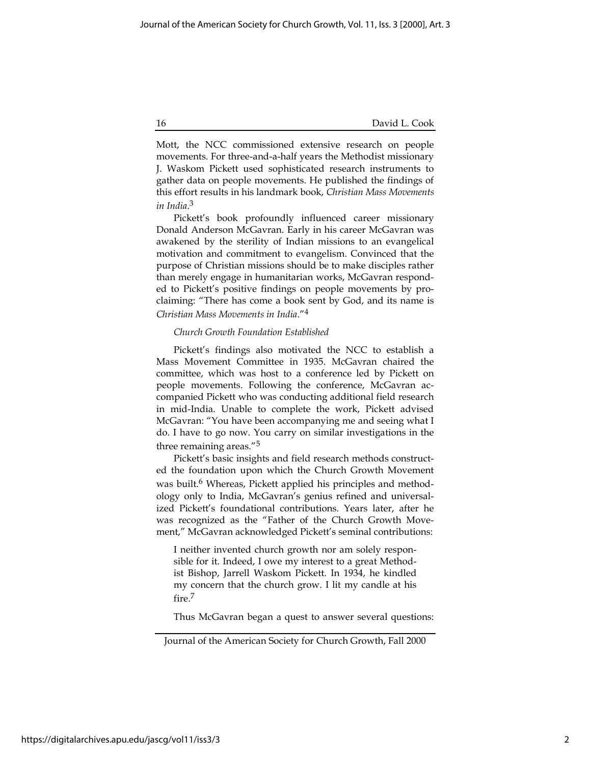Mott, the NCC commissioned extensive research on people movements. For three-and-a-half years the Methodist missionary J. Waskom Pickett used sophisticated research instruments to gather data on people movements. He published the findings of this effort results in his landmark book, Christian Mass Movements in India. 3

Pickett's book profoundly influenced career missionary Donald Anderson McGavran. Early in his career McGavran was awakened by the sterility of Indian missions to an evangelical motivation and commitment to evangelism. Convinced that the purpose of Christian missions should be to make disciples rather than merely engage in humanitarian works, McGavran responded to Pickett's positive findings on people movements by proclaiming: "There has come a book sent by God, and its name is Christian Mass Movements in India."<sup>4</sup>

#### Church Growth Foundation Established

Pickett's findings also motivated the NCC to establish a Mass Movement Committee in 1935. McGavran chaired the committee, which was host to a conference led by Pickett on people movements. Following the conference, McGavran accompanied Pickett who was conducting additional field research in mid-India. Unable to complete the work, Pickett advised McGavran: "You have been accompanying me and seeing what I do. I have to go now. You carry on similar investigations in the three remaining areas."5

Pickett's basic insights and field research methods constructed the foundation upon which the Church Growth Movement was built.<sup>6</sup> Whereas, Pickett applied his principles and methodology only to India, McGavran's genius refined and universalized Pickett's foundational contributions. Years later, after he was recognized as the "Father of the Church Growth Movement," McGavran acknowledged Pickett's seminal contributions:

I neither invented church growth nor am solely responsible for it. Indeed, I owe my interest to a great Methodist Bishop, Jarrell Waskom Pickett. In 1934, he kindled my concern that the church grow. I lit my candle at his fire.7

Thus McGavran began a quest to answer several questions:

Journal of the American Society for Church Growth, Fall 2000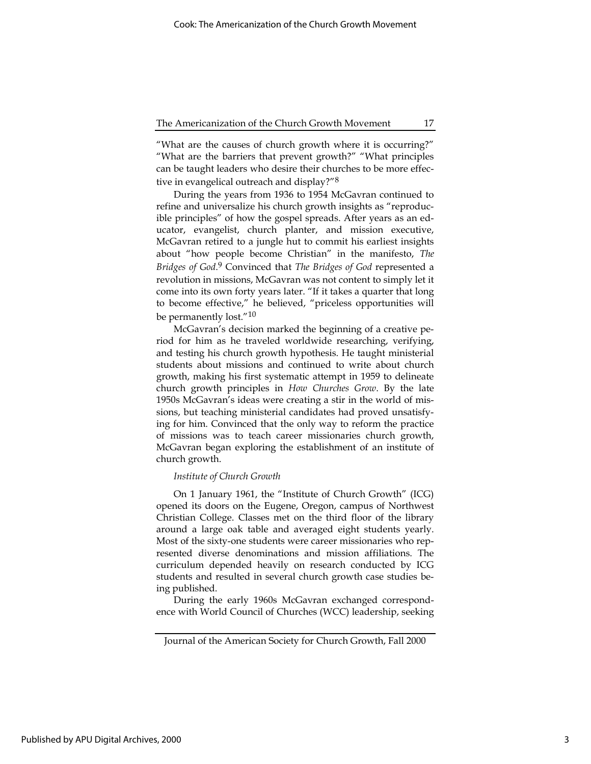"What are the causes of church growth where it is occurring?" "What are the barriers that prevent growth?" "What principles can be taught leaders who desire their churches to be more effective in evangelical outreach and display?"8

During the years from 1936 to 1954 McGavran continued to refine and universalize his church growth insights as "reproducible principles" of how the gospel spreads. After years as an educator, evangelist, church planter, and mission executive, McGavran retired to a jungle hut to commit his earliest insights about "how people become Christian" in the manifesto, The Bridges of God.<sup>9</sup> Convinced that The Bridges of God represented a revolution in missions, McGavran was not content to simply let it come into its own forty years later. "If it takes a quarter that long to become effective," he believed, "priceless opportunities will be permanently lost."10

McGavran's decision marked the beginning of a creative period for him as he traveled worldwide researching, verifying, and testing his church growth hypothesis. He taught ministerial students about missions and continued to write about church growth, making his first systematic attempt in 1959 to delineate church growth principles in How Churches Grow. By the late 1950s McGavran's ideas were creating a stir in the world of missions, but teaching ministerial candidates had proved unsatisfying for him. Convinced that the only way to reform the practice of missions was to teach career missionaries church growth, McGavran began exploring the establishment of an institute of church growth.

#### Institute of Church Growth

On 1 January 1961, the "Institute of Church Growth" (ICG) opened its doors on the Eugene, Oregon, campus of Northwest Christian College. Classes met on the third floor of the library around a large oak table and averaged eight students yearly. Most of the sixty-one students were career missionaries who represented diverse denominations and mission affiliations. The curriculum depended heavily on research conducted by ICG students and resulted in several church growth case studies being published.

During the early 1960s McGavran exchanged correspondence with World Council of Churches (WCC) leadership, seeking

Journal of the American Society for Church Growth, Fall 2000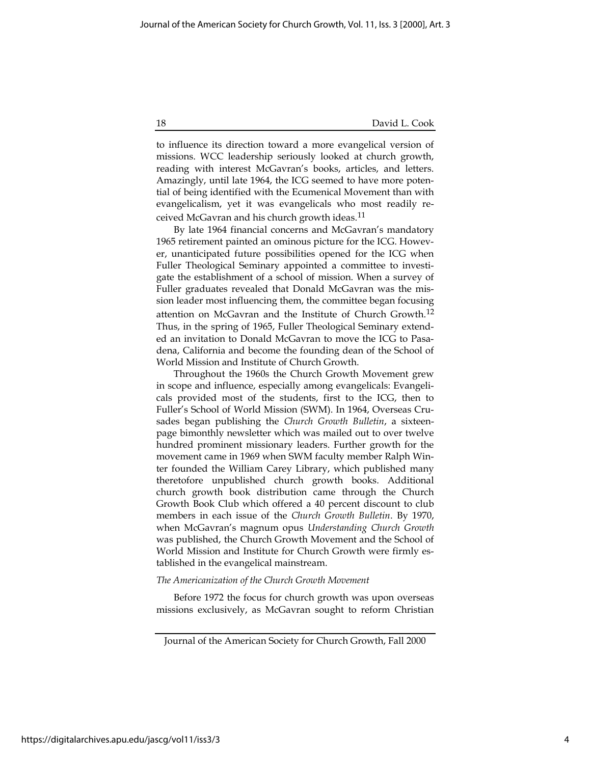to influence its direction toward a more evangelical version of missions. WCC leadership seriously looked at church growth, reading with interest McGavran's books, articles, and letters. Amazingly, until late 1964, the ICG seemed to have more potential of being identified with the Ecumenical Movement than with evangelicalism, yet it was evangelicals who most readily received McGavran and his church growth ideas.11

By late 1964 financial concerns and McGavran's mandatory 1965 retirement painted an ominous picture for the ICG. However, unanticipated future possibilities opened for the ICG when Fuller Theological Seminary appointed a committee to investigate the establishment of a school of mission. When a survey of Fuller graduates revealed that Donald McGavran was the mission leader most influencing them, the committee began focusing attention on McGavran and the Institute of Church Growth.<sup>12</sup> Thus, in the spring of 1965, Fuller Theological Seminary extended an invitation to Donald McGavran to move the ICG to Pasadena, California and become the founding dean of the School of World Mission and Institute of Church Growth.

Throughout the 1960s the Church Growth Movement grew in scope and influence, especially among evangelicals: Evangelicals provided most of the students, first to the ICG, then to Fuller's School of World Mission (SWM). In 1964, Overseas Crusades began publishing the Church Growth Bulletin, a sixteenpage bimonthly newsletter which was mailed out to over twelve hundred prominent missionary leaders. Further growth for the movement came in 1969 when SWM faculty member Ralph Winter founded the William Carey Library, which published many theretofore unpublished church growth books. Additional church growth book distribution came through the Church Growth Book Club which offered a 40 percent discount to club members in each issue of the Church Growth Bulletin. By 1970, when McGavran's magnum opus Understanding Church Growth was published, the Church Growth Movement and the School of World Mission and Institute for Church Growth were firmly established in the evangelical mainstream.

#### The Americanization of the Church Growth Movement

Before 1972 the focus for church growth was upon overseas missions exclusively, as McGavran sought to reform Christian

Journal of the American Society for Church Growth, Fall 2000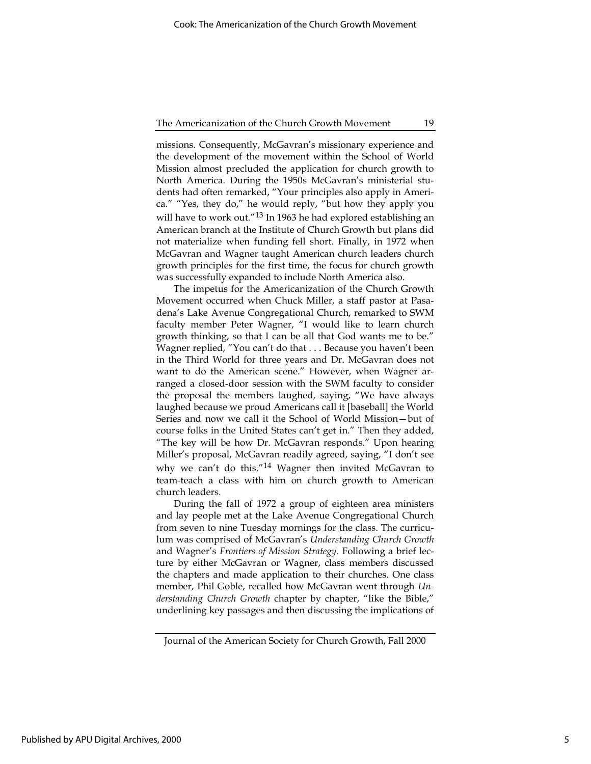missions. Consequently, McGavran's missionary experience and the development of the movement within the School of World Mission almost precluded the application for church growth to North America. During the 1950s McGavran's ministerial students had often remarked, "Your principles also apply in America." "Yes, they do," he would reply, "but how they apply you will have to work out."<sup>13</sup> In 1963 he had explored establishing an American branch at the Institute of Church Growth but plans did not materialize when funding fell short. Finally, in 1972 when McGavran and Wagner taught American church leaders church growth principles for the first time, the focus for church growth was successfully expanded to include North America also.

The impetus for the Americanization of the Church Growth Movement occurred when Chuck Miller, a staff pastor at Pasadena's Lake Avenue Congregational Church, remarked to SWM faculty member Peter Wagner, "I would like to learn church growth thinking, so that I can be all that God wants me to be." Wagner replied, "You can't do that . . . Because you haven't been in the Third World for three years and Dr. McGavran does not want to do the American scene." However, when Wagner arranged a closed-door session with the SWM faculty to consider the proposal the members laughed, saying, "We have always laughed because we proud Americans call it [baseball] the World Series and now we call it the School of World Mission—but of course folks in the United States can't get in." Then they added, "The key will be how Dr. McGavran responds." Upon hearing Miller's proposal, McGavran readily agreed, saying, "I don't see why we can't do this."14 Wagner then invited McGavran to team-teach a class with him on church growth to American church leaders.

During the fall of 1972 a group of eighteen area ministers and lay people met at the Lake Avenue Congregational Church from seven to nine Tuesday mornings for the class. The curriculum was comprised of McGavran's Understanding Church Growth and Wagner's Frontiers of Mission Strategy. Following a brief lecture by either McGavran or Wagner, class members discussed the chapters and made application to their churches. One class member, Phil Goble, recalled how McGavran went through Understanding Church Growth chapter by chapter, "like the Bible," underlining key passages and then discussing the implications of

Journal of the American Society for Church Growth, Fall 2000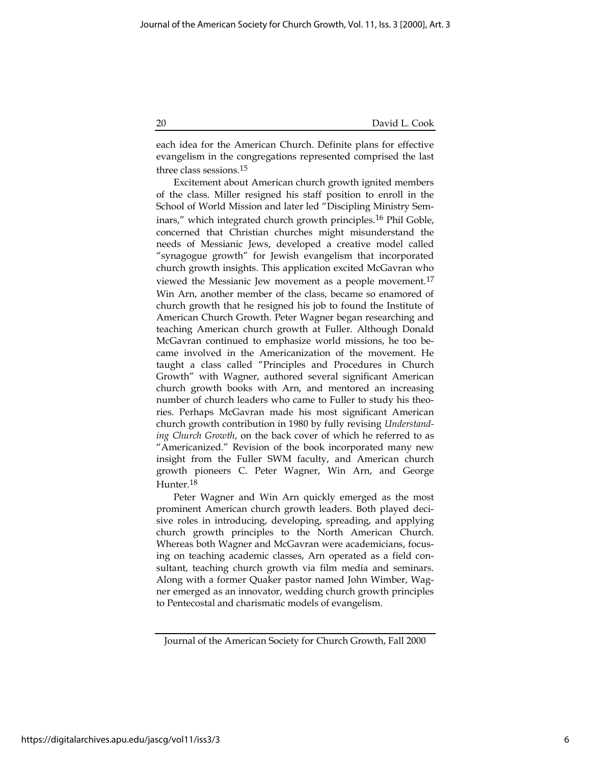each idea for the American Church. Definite plans for effective evangelism in the congregations represented comprised the last three class sessions.15

Excitement about American church growth ignited members of the class. Miller resigned his staff position to enroll in the School of World Mission and later led "Discipling Ministry Seminars," which integrated church growth principles.16 Phil Goble, concerned that Christian churches might misunderstand the needs of Messianic Jews, developed a creative model called "synagogue growth" for Jewish evangelism that incorporated church growth insights. This application excited McGavran who viewed the Messianic Jew movement as a people movement.<sup>17</sup> Win Arn, another member of the class, became so enamored of church growth that he resigned his job to found the Institute of American Church Growth. Peter Wagner began researching and teaching American church growth at Fuller. Although Donald McGavran continued to emphasize world missions, he too became involved in the Americanization of the movement. He taught a class called "Principles and Procedures in Church Growth" with Wagner, authored several significant American church growth books with Arn, and mentored an increasing number of church leaders who came to Fuller to study his theories. Perhaps McGavran made his most significant American church growth contribution in 1980 by fully revising Understanding Church Growth, on the back cover of which he referred to as "Americanized." Revision of the book incorporated many new insight from the Fuller SWM faculty, and American church growth pioneers C. Peter Wagner, Win Arn, and George Hunter.<sup>18</sup>

Peter Wagner and Win Arn quickly emerged as the most prominent American church growth leaders. Both played decisive roles in introducing, developing, spreading, and applying church growth principles to the North American Church. Whereas both Wagner and McGavran were academicians, focusing on teaching academic classes, Arn operated as a field consultant, teaching church growth via film media and seminars. Along with a former Quaker pastor named John Wimber, Wagner emerged as an innovator, wedding church growth principles to Pentecostal and charismatic models of evangelism.

Journal of the American Society for Church Growth, Fall 2000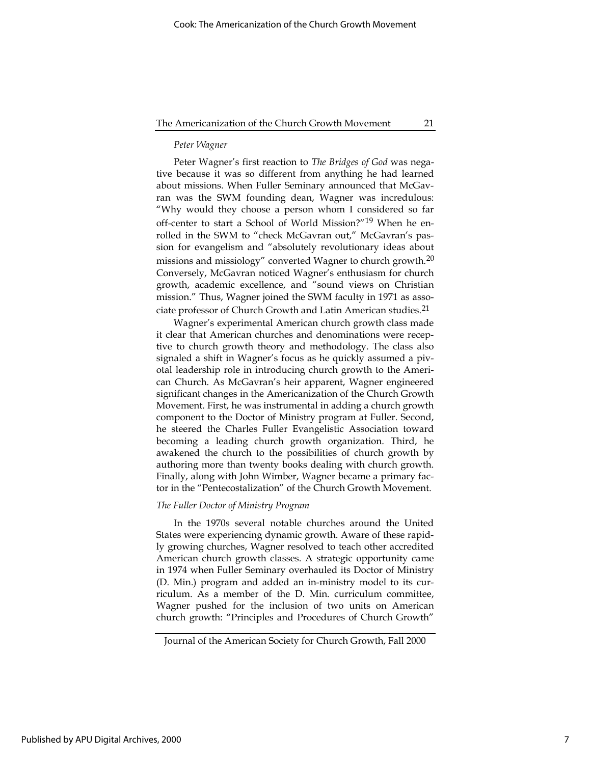# Peter Wagner

Peter Wagner's first reaction to The Bridges of God was negative because it was so different from anything he had learned about missions. When Fuller Seminary announced that McGavran was the SWM founding dean, Wagner was incredulous: "Why would they choose a person whom I considered so far off-center to start a School of World Mission?"19 When he enrolled in the SWM to "check McGavran out," McGavran's passion for evangelism and "absolutely revolutionary ideas about missions and missiology" converted Wagner to church growth.<sup>20</sup> Conversely, McGavran noticed Wagner's enthusiasm for church growth, academic excellence, and "sound views on Christian mission." Thus, Wagner joined the SWM faculty in 1971 as associate professor of Church Growth and Latin American studies.<sup>21</sup>

Wagner's experimental American church growth class made it clear that American churches and denominations were receptive to church growth theory and methodology. The class also signaled a shift in Wagner's focus as he quickly assumed a pivotal leadership role in introducing church growth to the American Church. As McGavran's heir apparent, Wagner engineered significant changes in the Americanization of the Church Growth Movement. First, he was instrumental in adding a church growth component to the Doctor of Ministry program at Fuller. Second, he steered the Charles Fuller Evangelistic Association toward becoming a leading church growth organization. Third, he awakened the church to the possibilities of church growth by authoring more than twenty books dealing with church growth. Finally, along with John Wimber, Wagner became a primary factor in the "Pentecostalization" of the Church Growth Movement.

#### The Fuller Doctor of Ministry Program

In the 1970s several notable churches around the United States were experiencing dynamic growth. Aware of these rapidly growing churches, Wagner resolved to teach other accredited American church growth classes. A strategic opportunity came in 1974 when Fuller Seminary overhauled its Doctor of Ministry (D. Min.) program and added an in-ministry model to its curriculum. As a member of the D. Min. curriculum committee, Wagner pushed for the inclusion of two units on American church growth: "Principles and Procedures of Church Growth"

Journal of the American Society for Church Growth, Fall 2000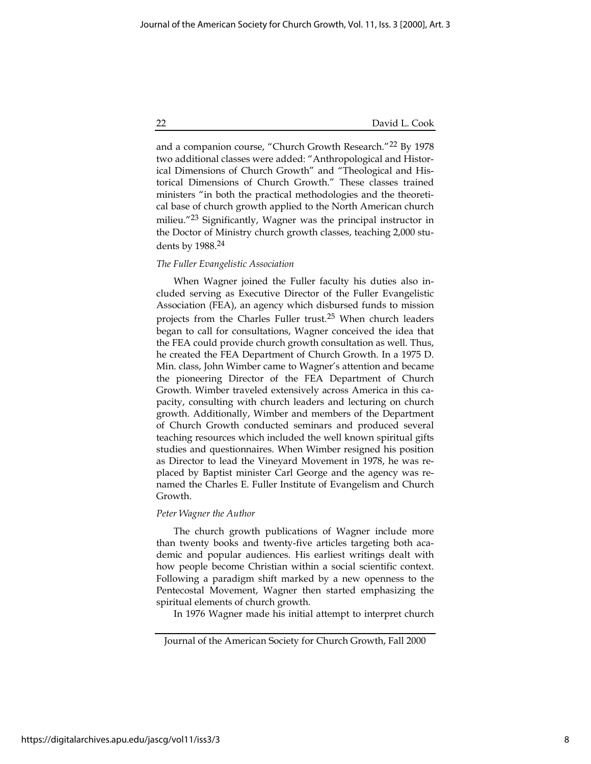and a companion course, "Church Growth Research."<sup>22</sup> By 1978 two additional classes were added: "Anthropological and Historical Dimensions of Church Growth" and "Theological and Historical Dimensions of Church Growth." These classes trained ministers "in both the practical methodologies and the theoretical base of church growth applied to the North American church milieu."23 Significantly, Wagner was the principal instructor in the Doctor of Ministry church growth classes, teaching 2,000 students by 1988.24

# The Fuller Evangelistic Association

When Wagner joined the Fuller faculty his duties also included serving as Executive Director of the Fuller Evangelistic Association (FEA), an agency which disbursed funds to mission projects from the Charles Fuller trust.25 When church leaders began to call for consultations, Wagner conceived the idea that the FEA could provide church growth consultation as well. Thus, he created the FEA Department of Church Growth. In a 1975 D. Min. class, John Wimber came to Wagner's attention and became the pioneering Director of the FEA Department of Church Growth. Wimber traveled extensively across America in this capacity, consulting with church leaders and lecturing on church growth. Additionally, Wimber and members of the Department of Church Growth conducted seminars and produced several teaching resources which included the well known spiritual gifts studies and questionnaires. When Wimber resigned his position as Director to lead the Vineyard Movement in 1978, he was replaced by Baptist minister Carl George and the agency was renamed the Charles E. Fuller Institute of Evangelism and Church Growth.

#### Peter Wagner the Author

The church growth publications of Wagner include more than twenty books and twenty-five articles targeting both academic and popular audiences. His earliest writings dealt with how people become Christian within a social scientific context. Following a paradigm shift marked by a new openness to the Pentecostal Movement, Wagner then started emphasizing the spiritual elements of church growth.

In 1976 Wagner made his initial attempt to interpret church

Journal of the American Society for Church Growth, Fall 2000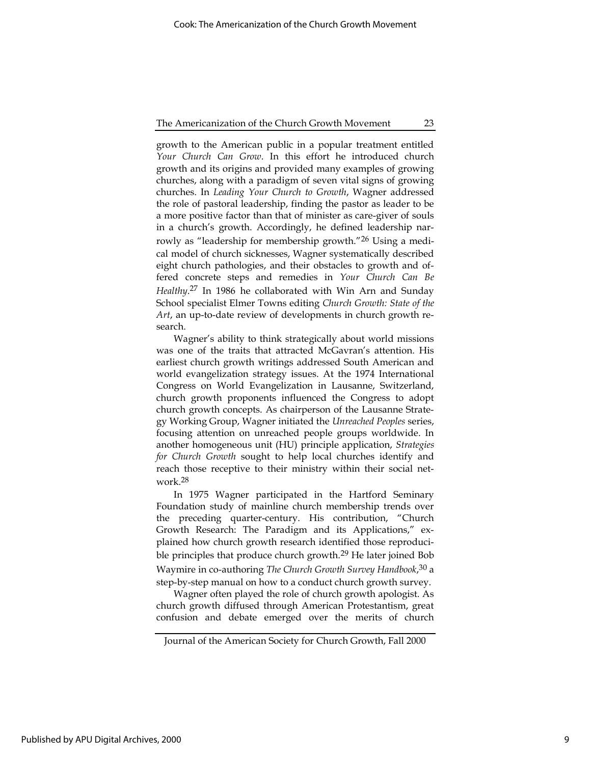growth to the American public in a popular treatment entitled Your Church Can Grow. In this effort he introduced church growth and its origins and provided many examples of growing churches, along with a paradigm of seven vital signs of growing churches. In Leading Your Church to Growth, Wagner addressed the role of pastoral leadership, finding the pastor as leader to be a more positive factor than that of minister as care-giver of souls in a church's growth. Accordingly, he defined leadership narrowly as "leadership for membership growth."<sup>26</sup> Using a medical model of church sicknesses, Wagner systematically described eight church pathologies, and their obstacles to growth and offered concrete steps and remedies in Your Church Can Be Healthy.<sup>27</sup> In 1986 he collaborated with Win Arn and Sunday School specialist Elmer Towns editing Church Growth: State of the Art, an up-to-date review of developments in church growth research.

Wagner's ability to think strategically about world missions was one of the traits that attracted McGavran's attention. His earliest church growth writings addressed South American and world evangelization strategy issues. At the 1974 International Congress on World Evangelization in Lausanne, Switzerland, church growth proponents influenced the Congress to adopt church growth concepts. As chairperson of the Lausanne Strategy Working Group, Wagner initiated the Unreached Peoples series, focusing attention on unreached people groups worldwide. In another homogeneous unit (HU) principle application, Strategies for Church Growth sought to help local churches identify and reach those receptive to their ministry within their social network.28

In 1975 Wagner participated in the Hartford Seminary Foundation study of mainline church membership trends over the preceding quarter-century. His contribution, "Church Growth Research: The Paradigm and its Applications," explained how church growth research identified those reproducible principles that produce church growth.<sup>29</sup> He later joined Bob Waymire in co-authoring The Church Growth Survey Handbook,<sup>30</sup> a step-by-step manual on how to a conduct church growth survey.

Wagner often played the role of church growth apologist. As church growth diffused through American Protestantism, great confusion and debate emerged over the merits of church

Journal of the American Society for Church Growth, Fall 2000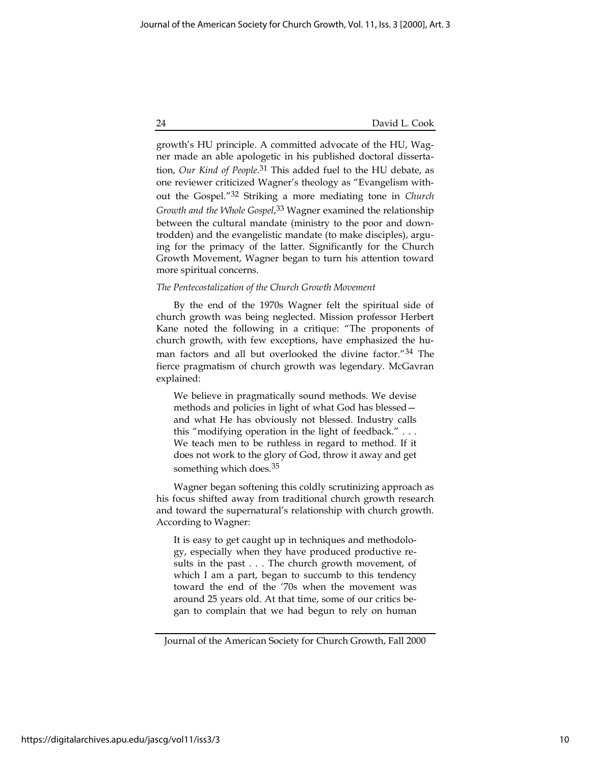growth's HU principle. A committed advocate of the HU, Wagner made an able apologetic in his published doctoral dissertation, Our Kind of People.<sup>31</sup> This added fuel to the HU debate, as one reviewer criticized Wagner's theology as "Evangelism without the Gospel."32 Striking a more mediating tone in Church Growth and the Whole Gospel,<sup>33</sup> Wagner examined the relationship between the cultural mandate (ministry to the poor and downtrodden) and the evangelistic mandate (to make disciples), arguing for the primacy of the latter. Significantly for the Church Growth Movement, Wagner began to turn his attention toward more spiritual concerns.

# The Pentecostalization of the Church Growth Movement

By the end of the 1970s Wagner felt the spiritual side of church growth was being neglected. Mission professor Herbert Kane noted the following in a critique: "The proponents of church growth, with few exceptions, have emphasized the human factors and all but overlooked the divine factor."34 The fierce pragmatism of church growth was legendary. McGavran explained:

We believe in pragmatically sound methods. We devise methods and policies in light of what God has blessed and what He has obviously not blessed. Industry calls this "modifying operation in the light of feedback." . . . We teach men to be ruthless in regard to method. If it does not work to the glory of God, throw it away and get something which does.<sup>35</sup>

Wagner began softening this coldly scrutinizing approach as his focus shifted away from traditional church growth research and toward the supernatural's relationship with church growth. According to Wagner:

It is easy to get caught up in techniques and methodology, especially when they have produced productive results in the past . . . The church growth movement, of which I am a part, began to succumb to this tendency toward the end of the '70s when the movement was around 25 years old. At that time, some of our critics began to complain that we had begun to rely on human

Journal of the American Society for Church Growth, Fall 2000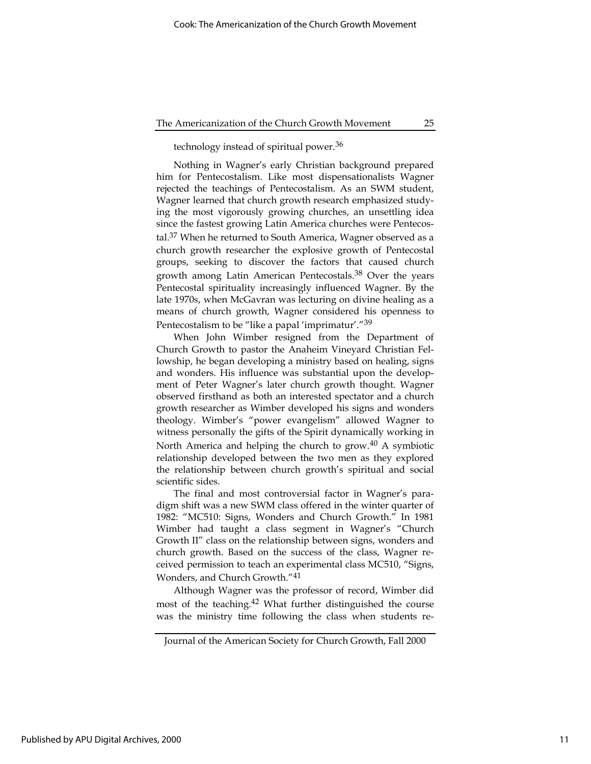technology instead of spiritual power.36

Nothing in Wagner's early Christian background prepared him for Pentecostalism. Like most dispensationalists Wagner rejected the teachings of Pentecostalism. As an SWM student, Wagner learned that church growth research emphasized studying the most vigorously growing churches, an unsettling idea since the fastest growing Latin America churches were Pentecostal.<sup>37</sup> When he returned to South America, Wagner observed as a church growth researcher the explosive growth of Pentecostal groups, seeking to discover the factors that caused church growth among Latin American Pentecostals.38 Over the years Pentecostal spirituality increasingly influenced Wagner. By the late 1970s, when McGavran was lecturing on divine healing as a means of church growth, Wagner considered his openness to Pentecostalism to be "like a papal 'imprimatur'."39

When John Wimber resigned from the Department of Church Growth to pastor the Anaheim Vineyard Christian Fellowship, he began developing a ministry based on healing, signs and wonders. His influence was substantial upon the development of Peter Wagner's later church growth thought. Wagner observed firsthand as both an interested spectator and a church growth researcher as Wimber developed his signs and wonders theology. Wimber's "power evangelism" allowed Wagner to witness personally the gifts of the Spirit dynamically working in North America and helping the church to grow.40 A symbiotic relationship developed between the two men as they explored the relationship between church growth's spiritual and social scientific sides.

The final and most controversial factor in Wagner's paradigm shift was a new SWM class offered in the winter quarter of 1982: "MC510: Signs, Wonders and Church Growth." In 1981 Wimber had taught a class segment in Wagner's "Church Growth II" class on the relationship between signs, wonders and church growth. Based on the success of the class, Wagner received permission to teach an experimental class MC510, "Signs, Wonders, and Church Growth."41

Although Wagner was the professor of record, Wimber did most of the teaching.<sup>42</sup> What further distinguished the course was the ministry time following the class when students re-

Journal of the American Society for Church Growth, Fall 2000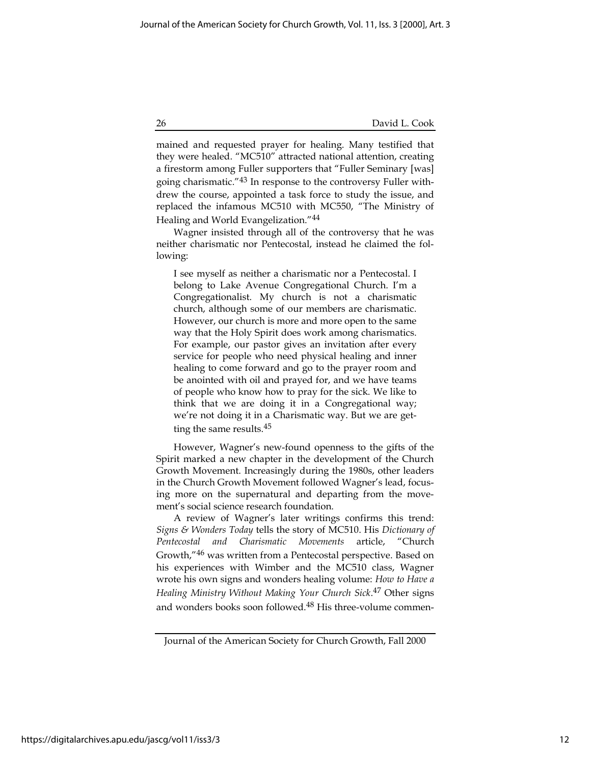mained and requested prayer for healing. Many testified that they were healed. "MC510" attracted national attention, creating a firestorm among Fuller supporters that "Fuller Seminary [was] going charismatic."43 In response to the controversy Fuller withdrew the course, appointed a task force to study the issue, and replaced the infamous MC510 with MC550, "The Ministry of Healing and World Evangelization."44

Wagner insisted through all of the controversy that he was neither charismatic nor Pentecostal, instead he claimed the following:

I see myself as neither a charismatic nor a Pentecostal. I belong to Lake Avenue Congregational Church. I'm a Congregationalist. My church is not a charismatic church, although some of our members are charismatic. However, our church is more and more open to the same way that the Holy Spirit does work among charismatics. For example, our pastor gives an invitation after every service for people who need physical healing and inner healing to come forward and go to the prayer room and be anointed with oil and prayed for, and we have teams of people who know how to pray for the sick. We like to think that we are doing it in a Congregational way; we're not doing it in a Charismatic way. But we are getting the same results.45

However, Wagner's new-found openness to the gifts of the Spirit marked a new chapter in the development of the Church Growth Movement. Increasingly during the 1980s, other leaders in the Church Growth Movement followed Wagner's lead, focusing more on the supernatural and departing from the movement's social science research foundation.

A review of Wagner's later writings confirms this trend: Signs & Wonders Today tells the story of MC510. His Dictionary of Pentecostal and Charismatic Movements article, "Church Growth,"46 was written from a Pentecostal perspective. Based on his experiences with Wimber and the MC510 class, Wagner wrote his own signs and wonders healing volume: How to Have a Healing Ministry Without Making Your Church Sick.<sup>47</sup> Other signs and wonders books soon followed.48 His three-volume commen-

Journal of the American Society for Church Growth, Fall 2000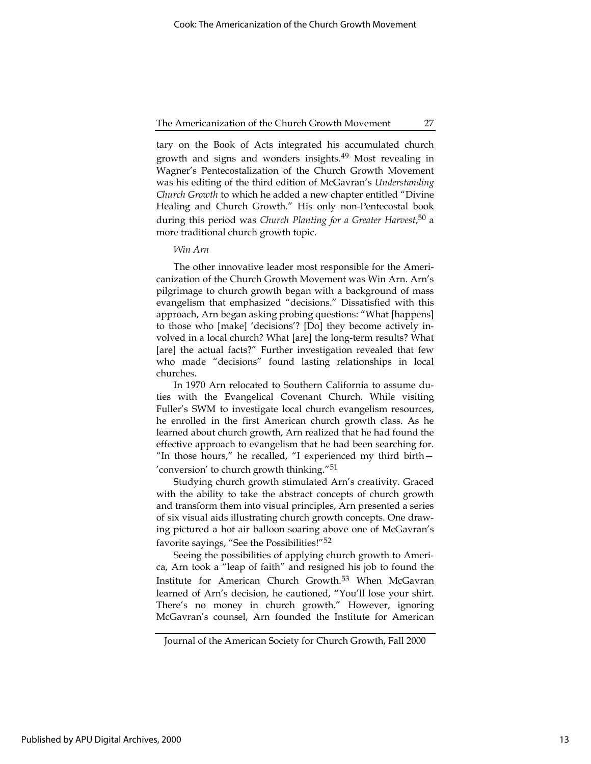tary on the Book of Acts integrated his accumulated church growth and signs and wonders insights.49 Most revealing in Wagner's Pentecostalization of the Church Growth Movement was his editing of the third edition of McGavran's Understanding Church Growth to which he added a new chapter entitled "Divine Healing and Church Growth." His only non-Pentecostal book during this period was Church Planting for a Greater Harvest,<sup>50</sup> a more traditional church growth topic.

# Win Arn

The other innovative leader most responsible for the Americanization of the Church Growth Movement was Win Arn. Arn's pilgrimage to church growth began with a background of mass evangelism that emphasized "decisions." Dissatisfied with this approach, Arn began asking probing questions: "What [happens] to those who [make] 'decisions'? [Do] they become actively involved in a local church? What [are] the long-term results? What [are] the actual facts?" Further investigation revealed that few who made "decisions" found lasting relationships in local churches.

In 1970 Arn relocated to Southern California to assume duties with the Evangelical Covenant Church. While visiting Fuller's SWM to investigate local church evangelism resources, he enrolled in the first American church growth class. As he learned about church growth, Arn realized that he had found the effective approach to evangelism that he had been searching for. "In those hours," he recalled, "I experienced my third birth— 'conversion' to church growth thinking."51

Studying church growth stimulated Arn's creativity. Graced with the ability to take the abstract concepts of church growth and transform them into visual principles, Arn presented a series of six visual aids illustrating church growth concepts. One drawing pictured a hot air balloon soaring above one of McGavran's favorite sayings, "See the Possibilities!"52

Seeing the possibilities of applying church growth to America, Arn took a "leap of faith" and resigned his job to found the Institute for American Church Growth.53 When McGavran learned of Arn's decision, he cautioned, "You'll lose your shirt. There's no money in church growth." However, ignoring McGavran's counsel, Arn founded the Institute for American

Journal of the American Society for Church Growth, Fall 2000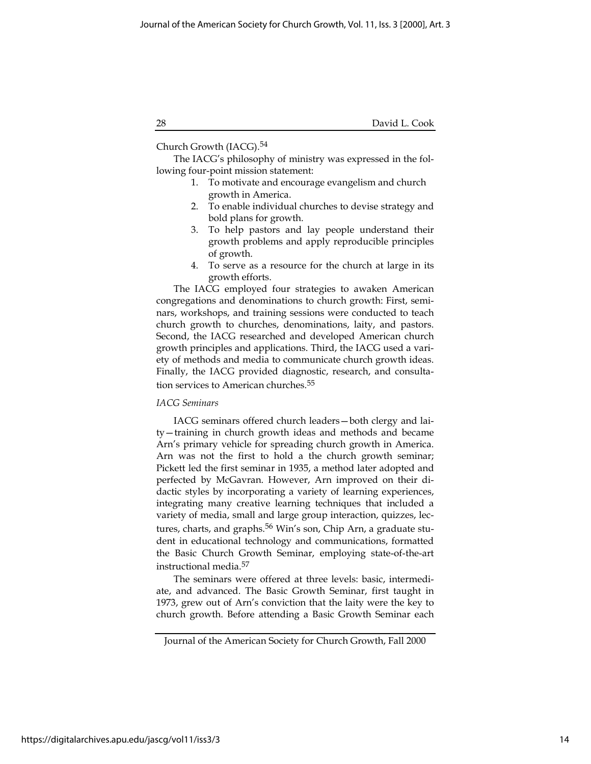Church Growth (IACG).54

The IACG's philosophy of ministry was expressed in the following four-point mission statement:

- 1. To motivate and encourage evangelism and church growth in America.
- 2. To enable individual churches to devise strategy and bold plans for growth.
- 3. To help pastors and lay people understand their growth problems and apply reproducible principles of growth.
- 4. To serve as a resource for the church at large in its growth efforts.

The IACG employed four strategies to awaken American congregations and denominations to church growth: First, seminars, workshops, and training sessions were conducted to teach church growth to churches, denominations, laity, and pastors. Second, the IACG researched and developed American church growth principles and applications. Third, the IACG used a variety of methods and media to communicate church growth ideas. Finally, the IACG provided diagnostic, research, and consultation services to American churches.<sup>55</sup>

# IACG Seminars

IACG seminars offered church leaders—both clergy and laity—training in church growth ideas and methods and became Arn's primary vehicle for spreading church growth in America. Arn was not the first to hold a the church growth seminar; Pickett led the first seminar in 1935, a method later adopted and perfected by McGavran. However, Arn improved on their didactic styles by incorporating a variety of learning experiences, integrating many creative learning techniques that included a variety of media, small and large group interaction, quizzes, lectures, charts, and graphs.<sup>56</sup> Win's son, Chip Arn, a graduate student in educational technology and communications, formatted the Basic Church Growth Seminar, employing state-of-the-art instructional media.57

The seminars were offered at three levels: basic, intermediate, and advanced. The Basic Growth Seminar, first taught in 1973, grew out of Arn's conviction that the laity were the key to church growth. Before attending a Basic Growth Seminar each

Journal of the American Society for Church Growth, Fall 2000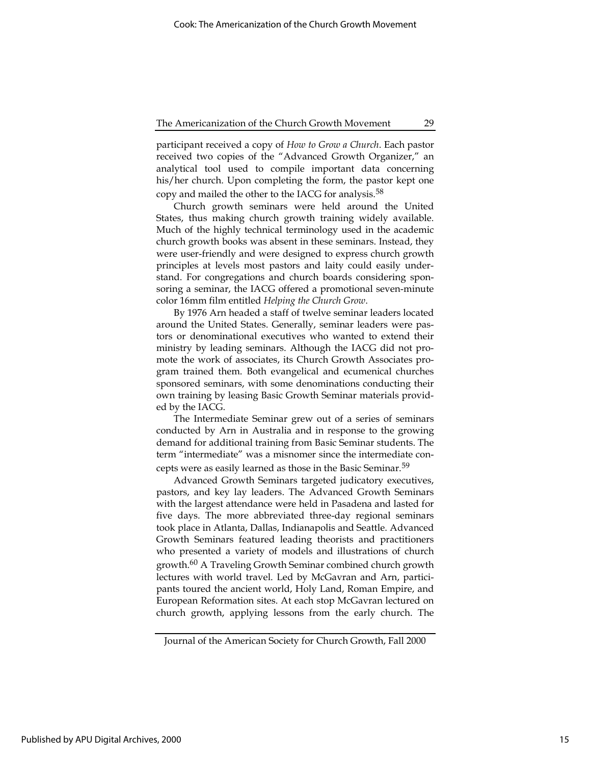participant received a copy of How to Grow a Church. Each pastor received two copies of the "Advanced Growth Organizer," an analytical tool used to compile important data concerning his/her church. Upon completing the form, the pastor kept one copy and mailed the other to the IACG for analysis.58

Church growth seminars were held around the United States, thus making church growth training widely available. Much of the highly technical terminology used in the academic church growth books was absent in these seminars. Instead, they were user-friendly and were designed to express church growth principles at levels most pastors and laity could easily understand. For congregations and church boards considering sponsoring a seminar, the IACG offered a promotional seven-minute color 16mm film entitled Helping the Church Grow.

By 1976 Arn headed a staff of twelve seminar leaders located around the United States. Generally, seminar leaders were pastors or denominational executives who wanted to extend their ministry by leading seminars. Although the IACG did not promote the work of associates, its Church Growth Associates program trained them. Both evangelical and ecumenical churches sponsored seminars, with some denominations conducting their own training by leasing Basic Growth Seminar materials provided by the IACG.

The Intermediate Seminar grew out of a series of seminars conducted by Arn in Australia and in response to the growing demand for additional training from Basic Seminar students. The term "intermediate" was a misnomer since the intermediate concepts were as easily learned as those in the Basic Seminar.<sup>59</sup>

Advanced Growth Seminars targeted judicatory executives, pastors, and key lay leaders. The Advanced Growth Seminars with the largest attendance were held in Pasadena and lasted for five days. The more abbreviated three-day regional seminars took place in Atlanta, Dallas, Indianapolis and Seattle. Advanced Growth Seminars featured leading theorists and practitioners who presented a variety of models and illustrations of church growth.<sup>60</sup> A Traveling Growth Seminar combined church growth lectures with world travel. Led by McGavran and Arn, participants toured the ancient world, Holy Land, Roman Empire, and European Reformation sites. At each stop McGavran lectured on church growth, applying lessons from the early church. The

Journal of the American Society for Church Growth, Fall 2000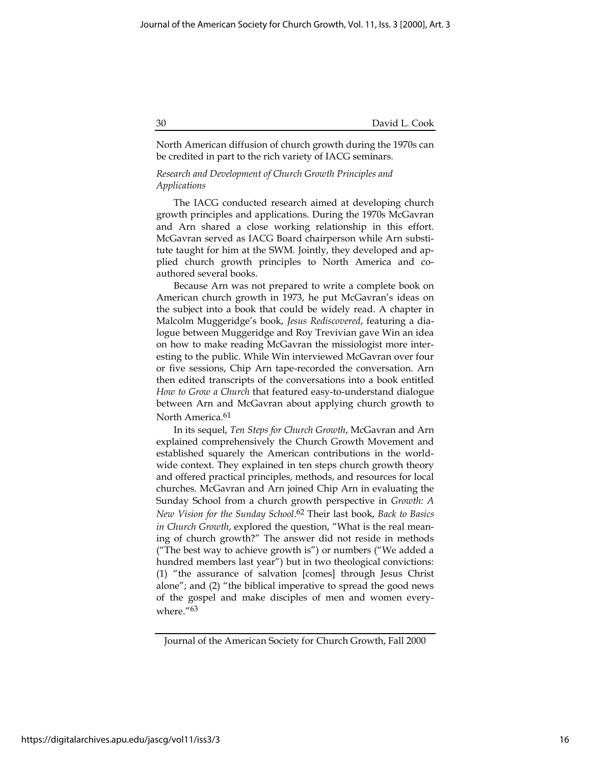# 30 David L. Cook

North American diffusion of church growth during the 1970s can be credited in part to the rich variety of IACG seminars.

# Research and Development of Church Growth Principles and Applications

The IACG conducted research aimed at developing church growth principles and applications. During the 1970s McGavran and Arn shared a close working relationship in this effort. McGavran served as IACG Board chairperson while Arn substitute taught for him at the SWM. Jointly, they developed and applied church growth principles to North America and coauthored several books.

Because Arn was not prepared to write a complete book on American church growth in 1973, he put McGavran's ideas on the subject into a book that could be widely read. A chapter in Malcolm Muggeridge's book, Jesus Rediscovered, featuring a dialogue between Muggeridge and Roy Trevivian gave Win an idea on how to make reading McGavran the missiologist more interesting to the public. While Win interviewed McGavran over four or five sessions, Chip Arn tape-recorded the conversation. Arn then edited transcripts of the conversations into a book entitled How to Grow a Church that featured easy-to-understand dialogue between Arn and McGavran about applying church growth to North America.<sup>61</sup>

In its sequel, Ten Steps for Church Growth, McGavran and Arn explained comprehensively the Church Growth Movement and established squarely the American contributions in the worldwide context. They explained in ten steps church growth theory and offered practical principles, methods, and resources for local churches. McGavran and Arn joined Chip Arn in evaluating the Sunday School from a church growth perspective in Growth: A New Vision for the Sunday School.<sup>62</sup> Their last book, Back to Basics in Church Growth, explored the question, "What is the real meaning of church growth?" The answer did not reside in methods ("The best way to achieve growth is") or numbers ("We added a hundred members last year") but in two theological convictions: (1) "the assurance of salvation [comes] through Jesus Christ alone"; and (2) "the biblical imperative to spread the good news of the gospel and make disciples of men and women everywhere."63

Journal of the American Society for Church Growth, Fall 2000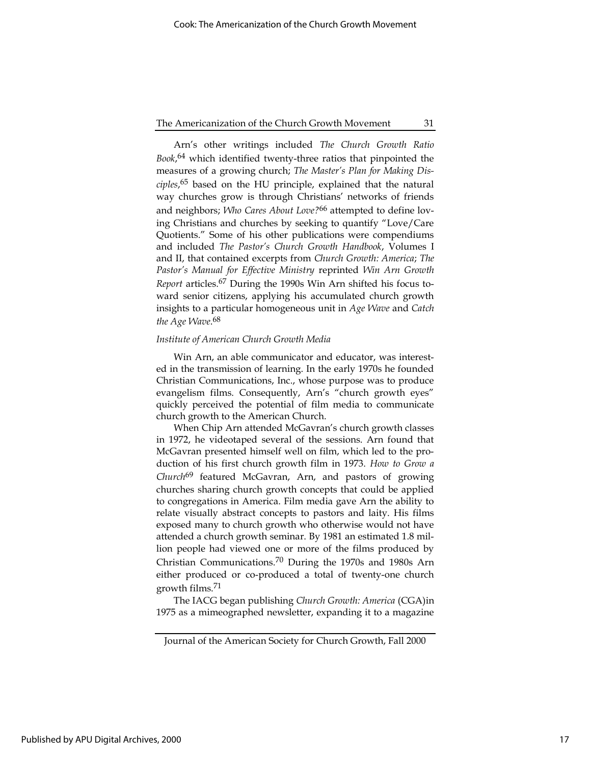Arn's other writings included The Church Growth Ratio Book,<sup>64</sup> which identified twenty-three ratios that pinpointed the measures of a growing church; The Master's Plan for Making Disciples,<sup>65</sup> based on the HU principle, explained that the natural way churches grow is through Christians' networks of friends and neighbors; Who Cares About Love?<sup>66</sup> attempted to define loving Christians and churches by seeking to quantify "Love/Care Quotients." Some of his other publications were compendiums and included The Pastor's Church Growth Handbook, Volumes I and II, that contained excerpts from Church Growth: America; The Pastor's Manual for Effective Ministry reprinted Win Arn Growth Report articles.<sup>67</sup> During the 1990s Win Arn shifted his focus toward senior citizens, applying his accumulated church growth insights to a particular homogeneous unit in Age Wave and Catch the Age Wave.<sup>68</sup>

# Institute of American Church Growth Media

Win Arn, an able communicator and educator, was interested in the transmission of learning. In the early 1970s he founded Christian Communications, Inc., whose purpose was to produce evangelism films. Consequently, Arn's "church growth eyes" quickly perceived the potential of film media to communicate church growth to the American Church.

When Chip Arn attended McGavran's church growth classes in 1972, he videotaped several of the sessions. Arn found that McGavran presented himself well on film, which led to the production of his first church growth film in 1973. How to Grow a Church<sup>69</sup> featured McGavran, Arn, and pastors of growing churches sharing church growth concepts that could be applied to congregations in America. Film media gave Arn the ability to relate visually abstract concepts to pastors and laity. His films exposed many to church growth who otherwise would not have attended a church growth seminar. By 1981 an estimated 1.8 million people had viewed one or more of the films produced by Christian Communications.70 During the 1970s and 1980s Arn either produced or co-produced a total of twenty-one church growth films.71

The IACG began publishing Church Growth: America (CGA)in 1975 as a mimeographed newsletter, expanding it to a magazine

Journal of the American Society for Church Growth, Fall 2000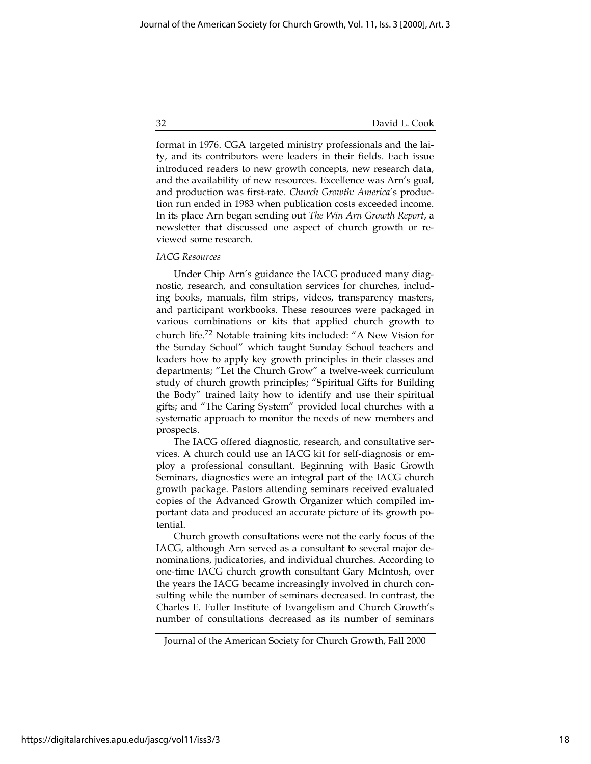32 David L. Cook

format in 1976. CGA targeted ministry professionals and the laity, and its contributors were leaders in their fields. Each issue introduced readers to new growth concepts, new research data, and the availability of new resources. Excellence was Arn's goal, and production was first-rate. Church Growth: America's production run ended in 1983 when publication costs exceeded income. In its place Arn began sending out The Win Arn Growth Report, a newsletter that discussed one aspect of church growth or reviewed some research.

#### IACG Resources

Under Chip Arn's guidance the IACG produced many diagnostic, research, and consultation services for churches, including books, manuals, film strips, videos, transparency masters, and participant workbooks. These resources were packaged in various combinations or kits that applied church growth to church life.72 Notable training kits included: "A New Vision for the Sunday School" which taught Sunday School teachers and leaders how to apply key growth principles in their classes and departments; "Let the Church Grow" a twelve-week curriculum study of church growth principles; "Spiritual Gifts for Building the Body" trained laity how to identify and use their spiritual gifts; and "The Caring System" provided local churches with a systematic approach to monitor the needs of new members and prospects.

The IACG offered diagnostic, research, and consultative services. A church could use an IACG kit for self-diagnosis or employ a professional consultant. Beginning with Basic Growth Seminars, diagnostics were an integral part of the IACG church growth package. Pastors attending seminars received evaluated copies of the Advanced Growth Organizer which compiled important data and produced an accurate picture of its growth potential.

Church growth consultations were not the early focus of the IACG, although Arn served as a consultant to several major denominations, judicatories, and individual churches. According to one-time IACG church growth consultant Gary McIntosh, over the years the IACG became increasingly involved in church consulting while the number of seminars decreased. In contrast, the Charles E. Fuller Institute of Evangelism and Church Growth's number of consultations decreased as its number of seminars

https://digitalarchives.apu.edu/jascg/vol11/iss3/3

Journal of the American Society for Church Growth, Fall 2000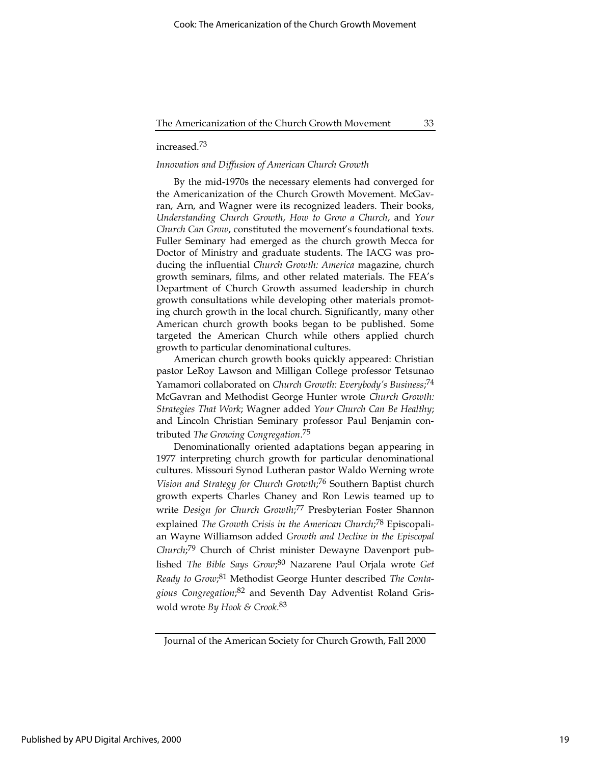# increased.73

# Innovation and Diffusion of American Church Growth

By the mid-1970s the necessary elements had converged for the Americanization of the Church Growth Movement. McGavran, Arn, and Wagner were its recognized leaders. Their books, Understanding Church Growth, How to Grow a Church, and Your Church Can Grow, constituted the movement's foundational texts. Fuller Seminary had emerged as the church growth Mecca for Doctor of Ministry and graduate students. The IACG was producing the influential Church Growth: America magazine, church growth seminars, films, and other related materials. The FEA's Department of Church Growth assumed leadership in church growth consultations while developing other materials promoting church growth in the local church. Significantly, many other American church growth books began to be published. Some targeted the American Church while others applied church growth to particular denominational cultures.

American church growth books quickly appeared: Christian pastor LeRoy Lawson and Milligan College professor Tetsunao Yamamori collaborated on Church Growth: Everybody's Business;<sup>74</sup> McGavran and Methodist George Hunter wrote Church Growth: Strategies That Work; Wagner added Your Church Can Be Healthy; and Lincoln Christian Seminary professor Paul Benjamin contributed The Growing Congregation.<sup>75</sup>

Denominationally oriented adaptations began appearing in 1977 interpreting church growth for particular denominational cultures. Missouri Synod Lutheran pastor Waldo Werning wrote Vision and Strategy for Church Growth;<sup>76</sup> Southern Baptist church growth experts Charles Chaney and Ron Lewis teamed up to write Design for Church Growth;<sup>77</sup> Presbyterian Foster Shannon explained The Growth Crisis in the American Church;<sup>78</sup> Episcopalian Wayne Williamson added Growth and Decline in the Episcopal Church;<sup>79</sup> Church of Christ minister Dewayne Davenport published The Bible Says Grow;<sup>80</sup> Nazarene Paul Orjala wrote Get Ready to Grow;<sup>81</sup> Methodist George Hunter described The Contagious Congregation;<sup>82</sup> and Seventh Day Adventist Roland Griswold wrote By Hook & Crook.<sup>83</sup>

Journal of the American Society for Church Growth, Fall 2000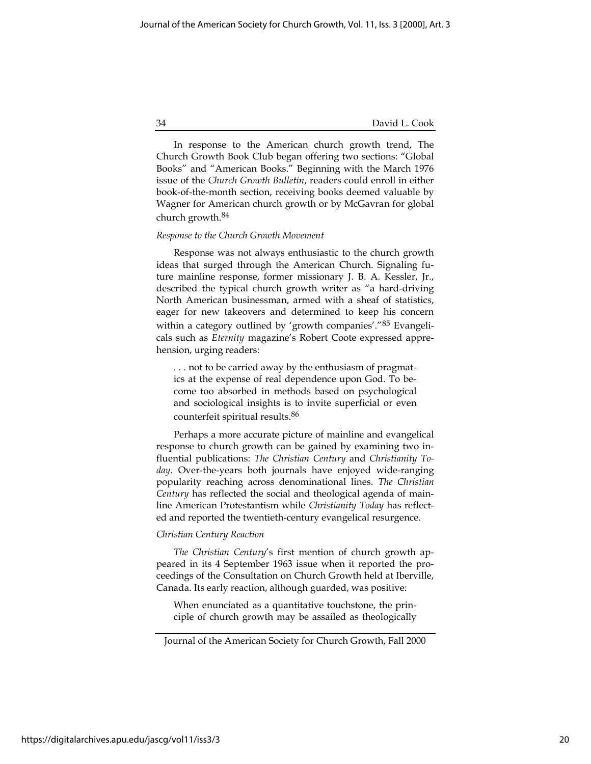34 David L. Cook

In response to the American church growth trend, The Church Growth Book Club began offering two sections: "Global Books" and "American Books." Beginning with the March 1976 issue of the Church Growth Bulletin, readers could enroll in either book-of-the-month section, receiving books deemed valuable by Wagner for American church growth or by McGavran for global church growth.84

#### Response to the Church Growth Movement

Response was not always enthusiastic to the church growth ideas that surged through the American Church. Signaling future mainline response, former missionary J. B. A. Kessler, Jr., described the typical church growth writer as "a hard-driving North American businessman, armed with a sheaf of statistics, eager for new takeovers and determined to keep his concern within a category outlined by 'growth companies'."85 Evangelicals such as Eternity magazine's Robert Coote expressed apprehension, urging readers:

. . . not to be carried away by the enthusiasm of pragmatics at the expense of real dependence upon God. To become too absorbed in methods based on psychological and sociological insights is to invite superficial or even counterfeit spiritual results.86

Perhaps a more accurate picture of mainline and evangelical response to church growth can be gained by examining two influential publications: The Christian Century and Christianity Today. Over-the-years both journals have enjoyed wide-ranging popularity reaching across denominational lines. The Christian Century has reflected the social and theological agenda of mainline American Protestantism while Christianity Today has reflected and reported the twentieth-century evangelical resurgence.

# Christian Century Reaction

The Christian Century's first mention of church growth appeared in its 4 September 1963 issue when it reported the proceedings of the Consultation on Church Growth held at Iberville, Canada. Its early reaction, although guarded, was positive:

When enunciated as a quantitative touchstone, the principle of church growth may be assailed as theologically

Journal of the American Society for Church Growth, Fall 2000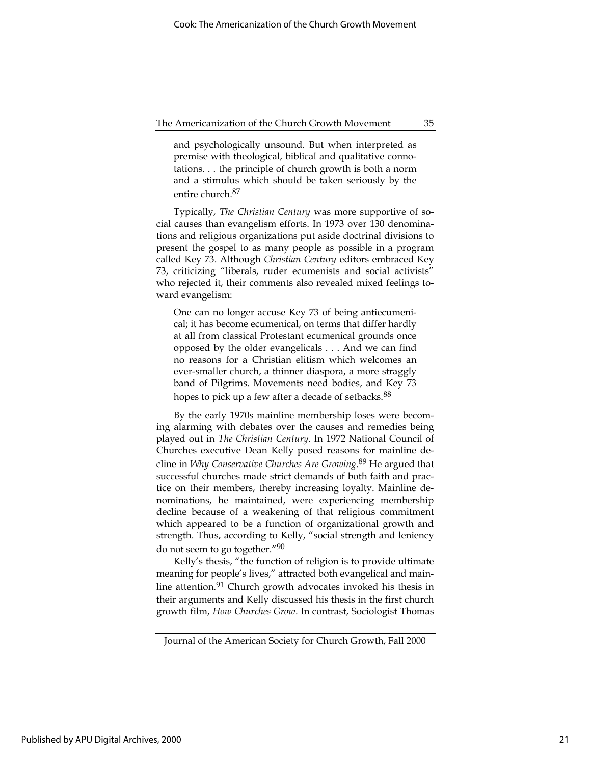and psychologically unsound. But when interpreted as premise with theological, biblical and qualitative connotations. . . the principle of church growth is both a norm and a stimulus which should be taken seriously by the entire church.87

Typically, The Christian Century was more supportive of social causes than evangelism efforts. In 1973 over 130 denominations and religious organizations put aside doctrinal divisions to present the gospel to as many people as possible in a program called Key 73. Although Christian Century editors embraced Key 73, criticizing "liberals, ruder ecumenists and social activists" who rejected it, their comments also revealed mixed feelings toward evangelism:

One can no longer accuse Key 73 of being antiecumenical; it has become ecumenical, on terms that differ hardly at all from classical Protestant ecumenical grounds once opposed by the older evangelicals . . . And we can find no reasons for a Christian elitism which welcomes an ever-smaller church, a thinner diaspora, a more straggly band of Pilgrims. Movements need bodies, and Key 73 hopes to pick up a few after a decade of setbacks.<sup>88</sup>

By the early 1970s mainline membership loses were becoming alarming with debates over the causes and remedies being played out in The Christian Century. In 1972 National Council of Churches executive Dean Kelly posed reasons for mainline decline in *Why Conservative Churches Are Growing*.<sup>89</sup> He argued that successful churches made strict demands of both faith and practice on their members, thereby increasing loyalty. Mainline denominations, he maintained, were experiencing membership decline because of a weakening of that religious commitment which appeared to be a function of organizational growth and strength. Thus, according to Kelly, "social strength and leniency do not seem to go together."90

Kelly's thesis, "the function of religion is to provide ultimate meaning for people's lives," attracted both evangelical and mainline attention.<sup>91</sup> Church growth advocates invoked his thesis in their arguments and Kelly discussed his thesis in the first church growth film, How Churches Grow. In contrast, Sociologist Thomas

Journal of the American Society for Church Growth, Fall 2000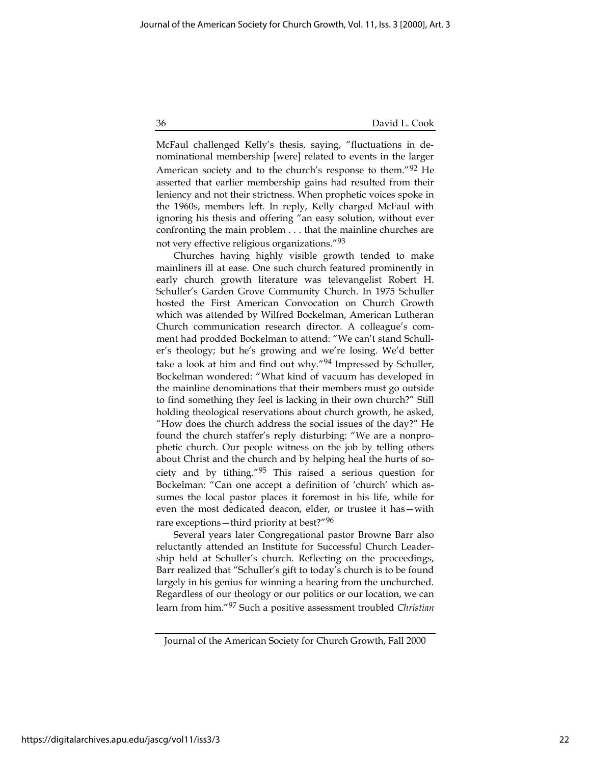McFaul challenged Kelly's thesis, saying, "fluctuations in denominational membership [were] related to events in the larger American society and to the church's response to them."92 He asserted that earlier membership gains had resulted from their leniency and not their strictness. When prophetic voices spoke in the 1960s, members left. In reply, Kelly charged McFaul with ignoring his thesis and offering "an easy solution, without ever confronting the main problem . . . that the mainline churches are not very effective religious organizations."93

Churches having highly visible growth tended to make mainliners ill at ease. One such church featured prominently in early church growth literature was televangelist Robert H. Schuller's Garden Grove Community Church. In 1975 Schuller hosted the First American Convocation on Church Growth which was attended by Wilfred Bockelman, American Lutheran Church communication research director. A colleague's comment had prodded Bockelman to attend: "We can't stand Schuller's theology; but he's growing and we're losing. We'd better take a look at him and find out why."94 Impressed by Schuller, Bockelman wondered: "What kind of vacuum has developed in the mainline denominations that their members must go outside to find something they feel is lacking in their own church?" Still holding theological reservations about church growth, he asked, "How does the church address the social issues of the day?" He found the church staffer's reply disturbing: "We are a nonprophetic church. Our people witness on the job by telling others about Christ and the church and by helping heal the hurts of society and by tithing."95 This raised a serious question for Bockelman: "Can one accept a definition of 'church' which assumes the local pastor places it foremost in his life, while for even the most dedicated deacon, elder, or trustee it has—with rare exceptions—third priority at best?"<sup>96</sup>

Several years later Congregational pastor Browne Barr also reluctantly attended an Institute for Successful Church Leadership held at Schuller's church. Reflecting on the proceedings, Barr realized that "Schuller's gift to today's church is to be found largely in his genius for winning a hearing from the unchurched. Regardless of our theology or our politics or our location, we can learn from him."97 Such a positive assessment troubled Christian

Journal of the American Society for Church Growth, Fall 2000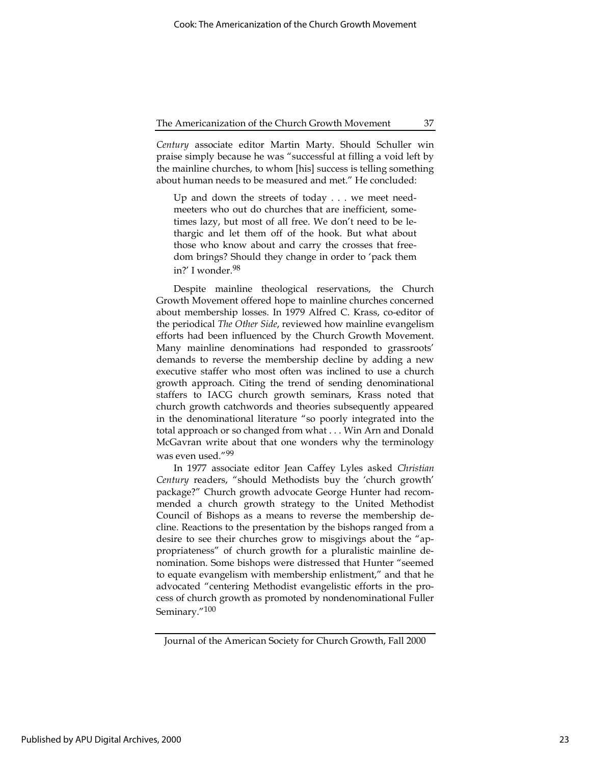Century associate editor Martin Marty. Should Schuller win praise simply because he was "successful at filling a void left by the mainline churches, to whom [his] success is telling something about human needs to be measured and met." He concluded:

Up and down the streets of today . . . we meet needmeeters who out do churches that are inefficient, sometimes lazy, but most of all free. We don't need to be lethargic and let them off of the hook. But what about those who know about and carry the crosses that freedom brings? Should they change in order to 'pack them in?' I wonder.98

Despite mainline theological reservations, the Church Growth Movement offered hope to mainline churches concerned about membership losses. In 1979 Alfred C. Krass, co-editor of the periodical The Other Side, reviewed how mainline evangelism efforts had been influenced by the Church Growth Movement. Many mainline denominations had responded to grassroots' demands to reverse the membership decline by adding a new executive staffer who most often was inclined to use a church growth approach. Citing the trend of sending denominational staffers to IACG church growth seminars, Krass noted that church growth catchwords and theories subsequently appeared in the denominational literature "so poorly integrated into the total approach or so changed from what . . . Win Arn and Donald McGavran write about that one wonders why the terminology was even used."99

In 1977 associate editor Jean Caffey Lyles asked Christian Century readers, "should Methodists buy the 'church growth' package?" Church growth advocate George Hunter had recommended a church growth strategy to the United Methodist Council of Bishops as a means to reverse the membership decline. Reactions to the presentation by the bishops ranged from a desire to see their churches grow to misgivings about the "appropriateness" of church growth for a pluralistic mainline denomination. Some bishops were distressed that Hunter "seemed to equate evangelism with membership enlistment," and that he advocated "centering Methodist evangelistic efforts in the process of church growth as promoted by nondenominational Fuller Seminary."100

Journal of the American Society for Church Growth, Fall 2000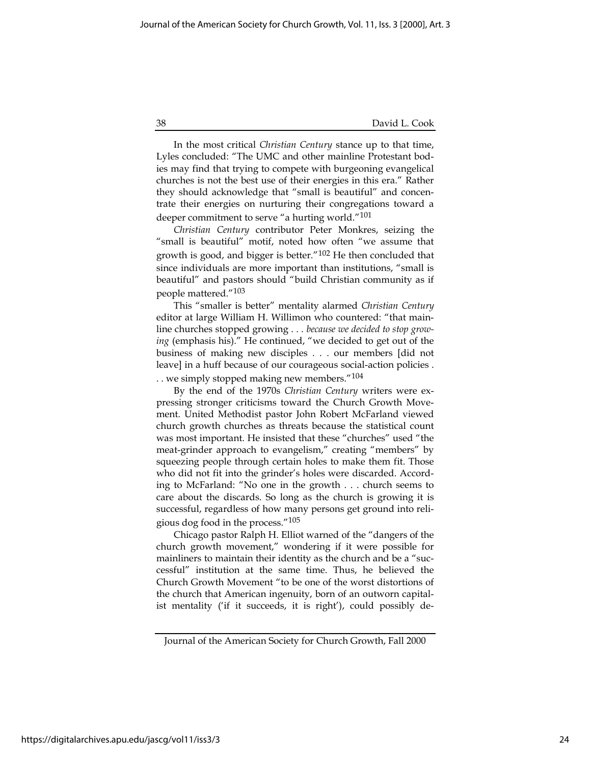#### 38 David L. Cook

In the most critical Christian Century stance up to that time, Lyles concluded: "The UMC and other mainline Protestant bodies may find that trying to compete with burgeoning evangelical churches is not the best use of their energies in this era." Rather they should acknowledge that "small is beautiful" and concentrate their energies on nurturing their congregations toward a deeper commitment to serve "a hurting world."101

Christian Century contributor Peter Monkres, seizing the "small is beautiful" motif, noted how often "we assume that growth is good, and bigger is better."102 He then concluded that since individuals are more important than institutions, "small is beautiful" and pastors should "build Christian community as if people mattered."103

This "smaller is better" mentality alarmed Christian Century editor at large William H. Willimon who countered: "that mainline churches stopped growing . . . because we decided to stop growing (emphasis his)." He continued, "we decided to get out of the business of making new disciples . . . our members [did not leave] in a huff because of our courageous social-action policies .

. . we simply stopped making new members."104

By the end of the 1970s Christian Century writers were expressing stronger criticisms toward the Church Growth Movement. United Methodist pastor John Robert McFarland viewed church growth churches as threats because the statistical count was most important. He insisted that these "churches" used "the meat-grinder approach to evangelism," creating "members" by squeezing people through certain holes to make them fit. Those who did not fit into the grinder's holes were discarded. According to McFarland: "No one in the growth . . . church seems to care about the discards. So long as the church is growing it is successful, regardless of how many persons get ground into religious dog food in the process."105

Chicago pastor Ralph H. Elliot warned of the "dangers of the church growth movement," wondering if it were possible for mainliners to maintain their identity as the church and be a "successful" institution at the same time. Thus, he believed the Church Growth Movement "to be one of the worst distortions of the church that American ingenuity, born of an outworn capitalist mentality ('if it succeeds, it is right'), could possibly de-

Journal of the American Society for Church Growth, Fall 2000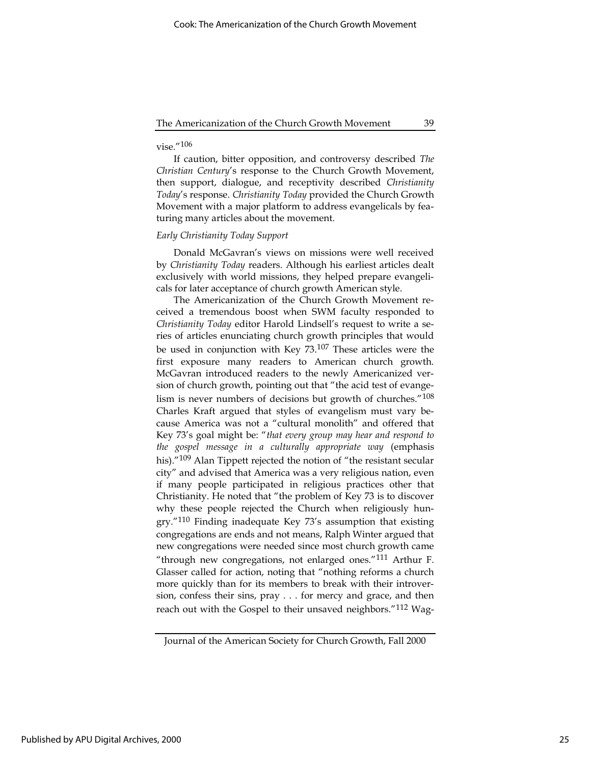# $vise$ ."106

If caution, bitter opposition, and controversy described The Christian Century's response to the Church Growth Movement, then support, dialogue, and receptivity described Christianity Today's response. Christianity Today provided the Church Growth Movement with a major platform to address evangelicals by featuring many articles about the movement.

# Early Christianity Today Support

Donald McGavran's views on missions were well received by Christianity Today readers. Although his earliest articles dealt exclusively with world missions, they helped prepare evangelicals for later acceptance of church growth American style.

The Americanization of the Church Growth Movement received a tremendous boost when SWM faculty responded to Christianity Today editor Harold Lindsell's request to write a series of articles enunciating church growth principles that would be used in conjunction with Key 73.107 These articles were the first exposure many readers to American church growth. McGavran introduced readers to the newly Americanized version of church growth, pointing out that "the acid test of evangelism is never numbers of decisions but growth of churches."108 Charles Kraft argued that styles of evangelism must vary because America was not a "cultural monolith" and offered that Key 73's goal might be: "that every group may hear and respond to the gospel message in a culturally appropriate way (emphasis his)."<sup>109</sup> Alan Tippett rejected the notion of "the resistant secular city" and advised that America was a very religious nation, even if many people participated in religious practices other that Christianity. He noted that "the problem of Key 73 is to discover why these people rejected the Church when religiously hungry."110 Finding inadequate Key 73's assumption that existing congregations are ends and not means, Ralph Winter argued that new congregations were needed since most church growth came "through new congregations, not enlarged ones."111 Arthur F. Glasser called for action, noting that "nothing reforms a church more quickly than for its members to break with their introversion, confess their sins, pray . . . for mercy and grace, and then reach out with the Gospel to their unsaved neighbors."<sup>112</sup> Wag-

Journal of the American Society for Church Growth, Fall 2000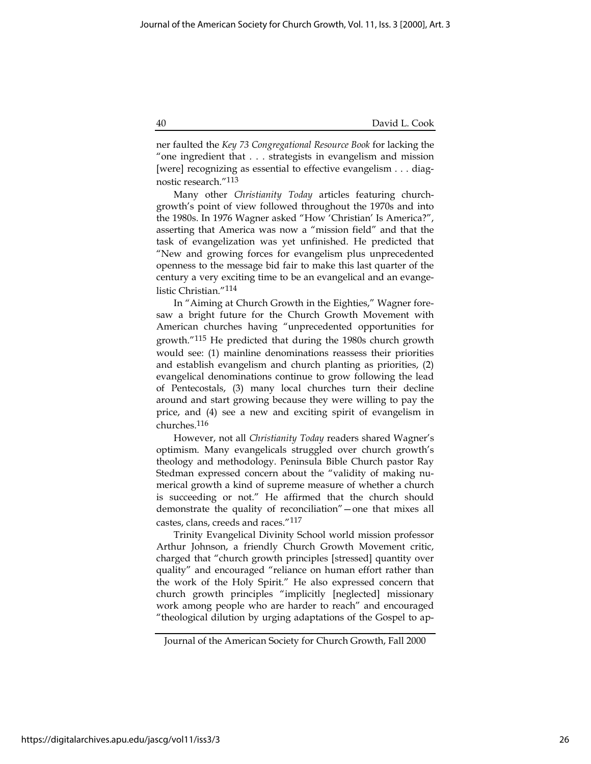ner faulted the Key 73 Congregational Resource Book for lacking the "one ingredient that . . . strategists in evangelism and mission [were] recognizing as essential to effective evangelism . . . diagnostic research."113

Many other Christianity Today articles featuring churchgrowth's point of view followed throughout the 1970s and into the 1980s. In 1976 Wagner asked "How 'Christian' Is America?", asserting that America was now a "mission field" and that the task of evangelization was yet unfinished. He predicted that "New and growing forces for evangelism plus unprecedented openness to the message bid fair to make this last quarter of the century a very exciting time to be an evangelical and an evangelistic Christian."114

In "Aiming at Church Growth in the Eighties," Wagner foresaw a bright future for the Church Growth Movement with American churches having "unprecedented opportunities for growth."115 He predicted that during the 1980s church growth would see: (1) mainline denominations reassess their priorities and establish evangelism and church planting as priorities, (2) evangelical denominations continue to grow following the lead of Pentecostals, (3) many local churches turn their decline around and start growing because they were willing to pay the price, and (4) see a new and exciting spirit of evangelism in churches.116

However, not all Christianity Today readers shared Wagner's optimism. Many evangelicals struggled over church growth's theology and methodology. Peninsula Bible Church pastor Ray Stedman expressed concern about the "validity of making numerical growth a kind of supreme measure of whether a church is succeeding or not." He affirmed that the church should demonstrate the quality of reconciliation"—one that mixes all castes, clans, creeds and races."117

Trinity Evangelical Divinity School world mission professor Arthur Johnson, a friendly Church Growth Movement critic, charged that "church growth principles [stressed] quantity over quality" and encouraged "reliance on human effort rather than the work of the Holy Spirit." He also expressed concern that church growth principles "implicitly [neglected] missionary work among people who are harder to reach" and encouraged "theological dilution by urging adaptations of the Gospel to ap-

Journal of the American Society for Church Growth, Fall 2000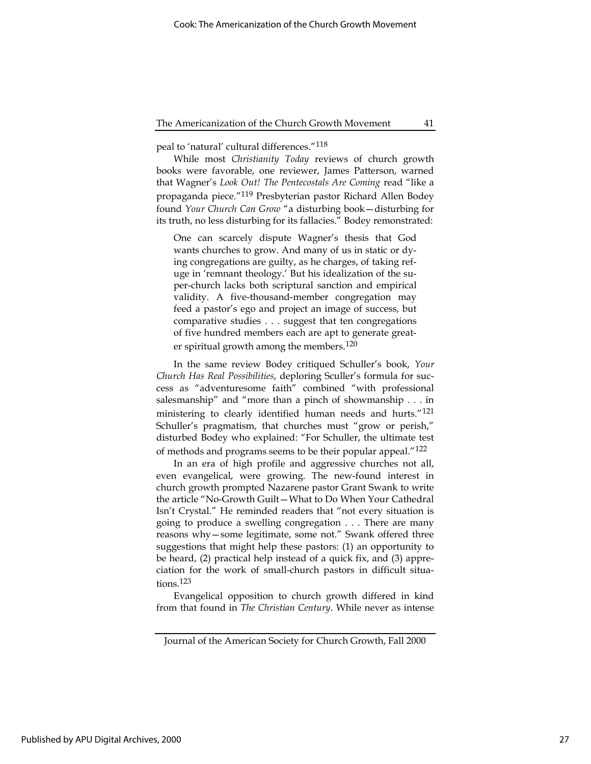peal to 'natural' cultural differences."118

While most Christianity Today reviews of church growth books were favorable, one reviewer, James Patterson, warned that Wagner's Look Out! The Pentecostals Are Coming read "like a propaganda piece."119 Presbyterian pastor Richard Allen Bodey found Your Church Can Grow "a disturbing book—disturbing for its truth, no less disturbing for its fallacies." Bodey remonstrated:

One can scarcely dispute Wagner's thesis that God wants churches to grow. And many of us in static or dying congregations are guilty, as he charges, of taking refuge in 'remnant theology.' But his idealization of the super-church lacks both scriptural sanction and empirical validity. A five-thousand-member congregation may feed a pastor's ego and project an image of success, but comparative studies . . . suggest that ten congregations of five hundred members each are apt to generate greater spiritual growth among the members.<sup>120</sup>

In the same review Bodey critiqued Schuller's book, Your Church Has Real Possibilities, deploring Sculler's formula for success as "adventuresome faith" combined "with professional salesmanship" and "more than a pinch of showmanship . . . in ministering to clearly identified human needs and hurts."<sup>121</sup> Schuller's pragmatism, that churches must "grow or perish," disturbed Bodey who explained: "For Schuller, the ultimate test of methods and programs seems to be their popular appeal."122

In an era of high profile and aggressive churches not all, even evangelical, were growing. The new-found interest in church growth prompted Nazarene pastor Grant Swank to write the article "No-Growth Guilt—What to Do When Your Cathedral Isn't Crystal." He reminded readers that "not every situation is going to produce a swelling congregation . . . There are many reasons why—some legitimate, some not." Swank offered three suggestions that might help these pastors: (1) an opportunity to be heard, (2) practical help instead of a quick fix, and (3) appreciation for the work of small-church pastors in difficult situations.123

Evangelical opposition to church growth differed in kind from that found in The Christian Century. While never as intense

Journal of the American Society for Church Growth, Fall 2000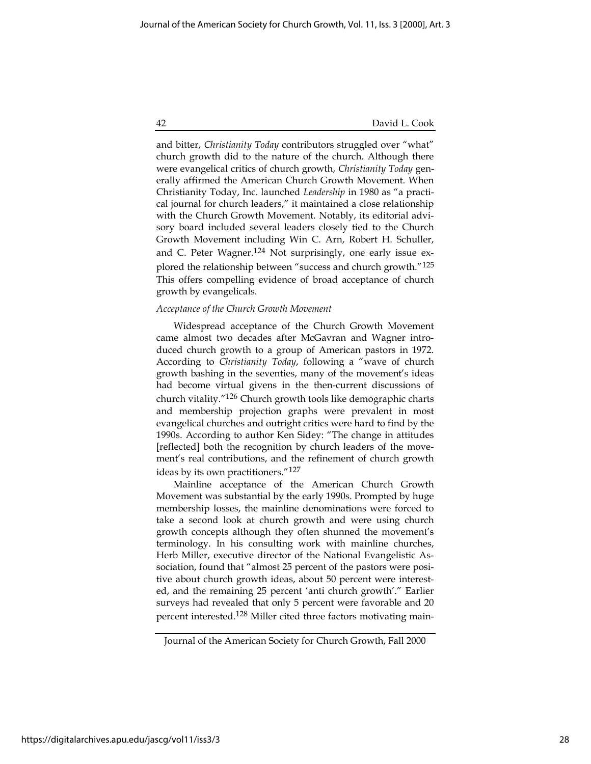and bitter, Christianity Today contributors struggled over "what" church growth did to the nature of the church. Although there were evangelical critics of church growth, Christianity Today generally affirmed the American Church Growth Movement. When Christianity Today, Inc. launched Leadership in 1980 as "a practical journal for church leaders," it maintained a close relationship with the Church Growth Movement. Notably, its editorial advisory board included several leaders closely tied to the Church Growth Movement including Win C. Arn, Robert H. Schuller, and C. Peter Wagner.<sup>124</sup> Not surprisingly, one early issue explored the relationship between "success and church growth."125 This offers compelling evidence of broad acceptance of church growth by evangelicals.

#### Acceptance of the Church Growth Movement

Widespread acceptance of the Church Growth Movement came almost two decades after McGavran and Wagner introduced church growth to a group of American pastors in 1972. According to Christianity Today, following a "wave of church growth bashing in the seventies, many of the movement's ideas had become virtual givens in the then-current discussions of church vitality."126 Church growth tools like demographic charts and membership projection graphs were prevalent in most evangelical churches and outright critics were hard to find by the 1990s. According to author Ken Sidey: "The change in attitudes [reflected] both the recognition by church leaders of the movement's real contributions, and the refinement of church growth ideas by its own practitioners."127

Mainline acceptance of the American Church Growth Movement was substantial by the early 1990s. Prompted by huge membership losses, the mainline denominations were forced to take a second look at church growth and were using church growth concepts although they often shunned the movement's terminology. In his consulting work with mainline churches, Herb Miller, executive director of the National Evangelistic Association, found that "almost 25 percent of the pastors were positive about church growth ideas, about 50 percent were interested, and the remaining 25 percent 'anti church growth'." Earlier surveys had revealed that only 5 percent were favorable and 20 percent interested.128 Miller cited three factors motivating main-

Journal of the American Society for Church Growth, Fall 2000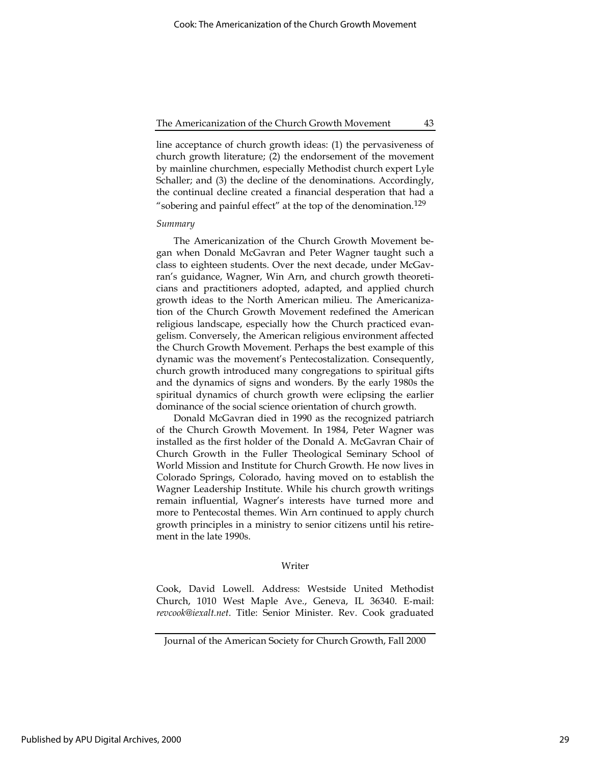line acceptance of church growth ideas: (1) the pervasiveness of church growth literature; (2) the endorsement of the movement by mainline churchmen, especially Methodist church expert Lyle Schaller; and (3) the decline of the denominations. Accordingly, the continual decline created a financial desperation that had a "sobering and painful effect" at the top of the denomination.<sup>129</sup>

#### Summary

The Americanization of the Church Growth Movement began when Donald McGavran and Peter Wagner taught such a class to eighteen students. Over the next decade, under McGavran's guidance, Wagner, Win Arn, and church growth theoreticians and practitioners adopted, adapted, and applied church growth ideas to the North American milieu. The Americanization of the Church Growth Movement redefined the American religious landscape, especially how the Church practiced evangelism. Conversely, the American religious environment affected the Church Growth Movement. Perhaps the best example of this dynamic was the movement's Pentecostalization. Consequently, church growth introduced many congregations to spiritual gifts and the dynamics of signs and wonders. By the early 1980s the spiritual dynamics of church growth were eclipsing the earlier dominance of the social science orientation of church growth.

Donald McGavran died in 1990 as the recognized patriarch of the Church Growth Movement. In 1984, Peter Wagner was installed as the first holder of the Donald A. McGavran Chair of Church Growth in the Fuller Theological Seminary School of World Mission and Institute for Church Growth. He now lives in Colorado Springs, Colorado, having moved on to establish the Wagner Leadership Institute. While his church growth writings remain influential, Wagner's interests have turned more and more to Pentecostal themes. Win Arn continued to apply church growth principles in a ministry to senior citizens until his retirement in the late 1990s.

#### Writer

Cook, David Lowell. Address: Westside United Methodist Church, 1010 West Maple Ave., Geneva, IL 36340. E-mail: revcook@iexalt.net. Title: Senior Minister. Rev. Cook graduated

Journal of the American Society for Church Growth, Fall 2000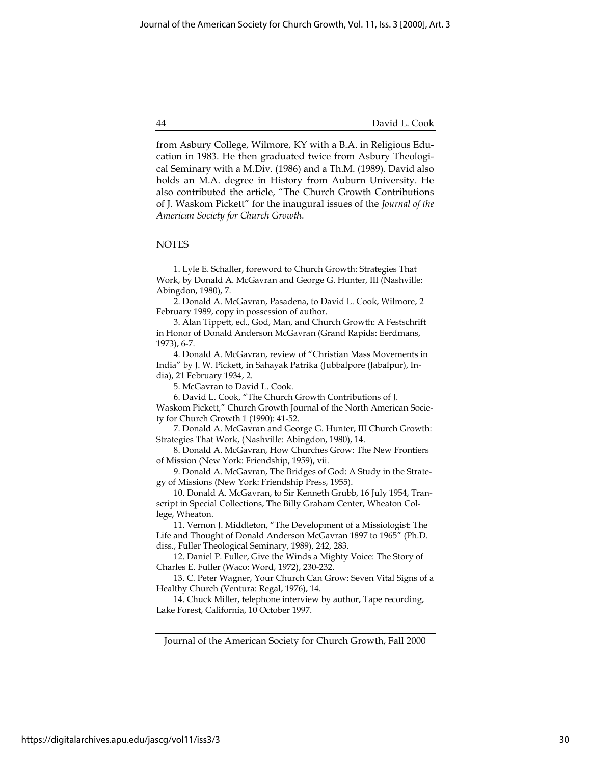from Asbury College, Wilmore, KY with a B.A. in Religious Education in 1983. He then graduated twice from Asbury Theological Seminary with a M.Div. (1986) and a Th.M. (1989). David also holds an M.A. degree in History from Auburn University. He also contributed the article, "The Church Growth Contributions of J. Waskom Pickett" for the inaugural issues of the Journal of the American Society for Church Growth.

#### NOTES

1. Lyle E. Schaller, foreword to Church Growth: Strategies That Work, by Donald A. McGavran and George G. Hunter, III (Nashville: Abingdon, 1980), 7.

2. Donald A. McGavran, Pasadena, to David L. Cook, Wilmore, 2 February 1989, copy in possession of author.

3. Alan Tippett, ed., God, Man, and Church Growth: A Festschrift in Honor of Donald Anderson McGavran (Grand Rapids: Eerdmans, 1973), 6-7.

4. Donald A. McGavran, review of "Christian Mass Movements in India" by J. W. Pickett, in Sahayak Patrika (Jubbalpore (Jabalpur), India), 21 February 1934, 2.

5. McGavran to David L. Cook.

6. David L. Cook, "The Church Growth Contributions of J. Waskom Pickett," Church Growth Journal of the North American Socie-

ty for Church Growth 1 (1990): 41-52.

7. Donald A. McGavran and George G. Hunter, III Church Growth: Strategies That Work, (Nashville: Abingdon, 1980), 14.

8. Donald A. McGavran, How Churches Grow: The New Frontiers of Mission (New York: Friendship, 1959), vii.

9. Donald A. McGavran, The Bridges of God: A Study in the Strategy of Missions (New York: Friendship Press, 1955).

10. Donald A. McGavran, to Sir Kenneth Grubb, 16 July 1954, Transcript in Special Collections, The Billy Graham Center, Wheaton College, Wheaton.

11. Vernon J. Middleton, "The Development of a Missiologist: The Life and Thought of Donald Anderson McGavran 1897 to 1965" (Ph.D. diss., Fuller Theological Seminary, 1989), 242, 283.

12. Daniel P. Fuller, Give the Winds a Mighty Voice: The Story of Charles E. Fuller (Waco: Word, 1972), 230-232.

13. C. Peter Wagner, Your Church Can Grow: Seven Vital Signs of a Healthy Church (Ventura: Regal, 1976), 14.

14. Chuck Miller, telephone interview by author, Tape recording, Lake Forest, California, 10 October 1997.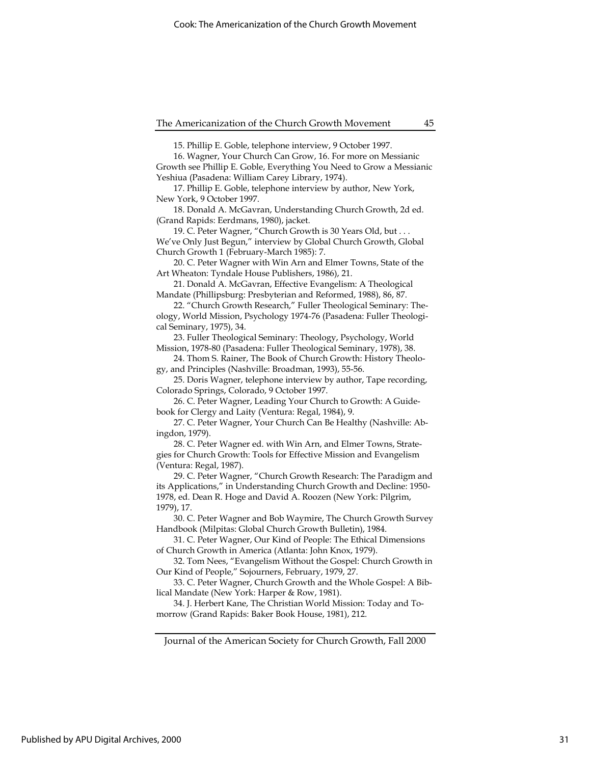15. Phillip E. Goble, telephone interview, 9 October 1997.

16. Wagner, Your Church Can Grow, 16. For more on Messianic Growth see Phillip E. Goble, Everything You Need to Grow a Messianic Yeshiua (Pasadena: William Carey Library, 1974).

17. Phillip E. Goble, telephone interview by author, New York, New York, 9 October 1997.

18. Donald A. McGavran, Understanding Church Growth, 2d ed. (Grand Rapids: Eerdmans, 1980), jacket.

19. C. Peter Wagner, "Church Growth is 30 Years Old, but . . . We've Only Just Begun," interview by Global Church Growth, Global Church Growth 1 (February-March 1985): 7.

20. C. Peter Wagner with Win Arn and Elmer Towns, State of the Art Wheaton: Tyndale House Publishers, 1986), 21.

21. Donald A. McGavran, Effective Evangelism: A Theological Mandate (Phillipsburg: Presbyterian and Reformed, 1988), 86, 87.

22. "Church Growth Research," Fuller Theological Seminary: Theology, World Mission, Psychology 1974-76 (Pasadena: Fuller Theological Seminary, 1975), 34.

23. Fuller Theological Seminary: Theology, Psychology, World Mission, 1978-80 (Pasadena: Fuller Theological Seminary, 1978), 38.

24. Thom S. Rainer, The Book of Church Growth: History Theology, and Principles (Nashville: Broadman, 1993), 55-56.

25. Doris Wagner, telephone interview by author, Tape recording, Colorado Springs, Colorado, 9 October 1997.

26. C. Peter Wagner, Leading Your Church to Growth: A Guidebook for Clergy and Laity (Ventura: Regal, 1984), 9.

27. C. Peter Wagner, Your Church Can Be Healthy (Nashville: Abingdon, 1979).

28. C. Peter Wagner ed. with Win Arn, and Elmer Towns, Strategies for Church Growth: Tools for Effective Mission and Evangelism (Ventura: Regal, 1987).

29. C. Peter Wagner, "Church Growth Research: The Paradigm and its Applications," in Understanding Church Growth and Decline: 1950- 1978, ed. Dean R. Hoge and David A. Roozen (New York: Pilgrim, 1979), 17.

30. C. Peter Wagner and Bob Waymire, The Church Growth Survey Handbook (Milpitas: Global Church Growth Bulletin), 1984.

31. C. Peter Wagner, Our Kind of People: The Ethical Dimensions of Church Growth in America (Atlanta: John Knox, 1979).

32. Tom Nees, "Evangelism Without the Gospel: Church Growth in Our Kind of People," Sojourners, February, 1979, 27.

33. C. Peter Wagner, Church Growth and the Whole Gospel: A Biblical Mandate (New York: Harper & Row, 1981).

34. J. Herbert Kane, The Christian World Mission: Today and Tomorrow (Grand Rapids: Baker Book House, 1981), 212.

Journal of the American Society for Church Growth, Fall 2000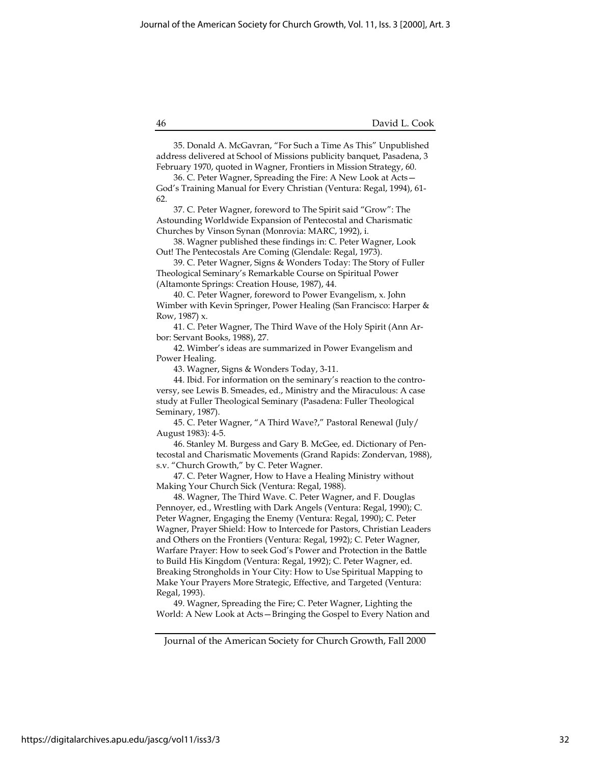35. Donald A. McGavran, "For Such a Time As This" Unpublished address delivered at School of Missions publicity banquet, Pasadena, 3 February 1970, quoted in Wagner, Frontiers in Mission Strategy, 60.

36. C. Peter Wagner, Spreading the Fire: A New Look at Acts— God's Training Manual for Every Christian (Ventura: Regal, 1994), 61- 62.

37. C. Peter Wagner, foreword to The Spirit said "Grow": The Astounding Worldwide Expansion of Pentecostal and Charismatic Churches by Vinson Synan (Monrovia: MARC, 1992), i.

38. Wagner published these findings in: C. Peter Wagner, Look Out! The Pentecostals Are Coming (Glendale: Regal, 1973).

39. C. Peter Wagner, Signs & Wonders Today: The Story of Fuller Theological Seminary's Remarkable Course on Spiritual Power (Altamonte Springs: Creation House, 1987), 44.

40. C. Peter Wagner, foreword to Power Evangelism, x. John Wimber with Kevin Springer, Power Healing (San Francisco: Harper & Row, 1987) x.

41. C. Peter Wagner, The Third Wave of the Holy Spirit (Ann Arbor: Servant Books, 1988), 27.

42. Wimber's ideas are summarized in Power Evangelism and Power Healing.

43. Wagner, Signs & Wonders Today, 3-11.

44. Ibid. For information on the seminary's reaction to the controversy, see Lewis B. Smeades, ed., Ministry and the Miraculous: A case study at Fuller Theological Seminary (Pasadena: Fuller Theological Seminary, 1987).

45. C. Peter Wagner, "A Third Wave?," Pastoral Renewal (July/ August 1983): 4-5.

46. Stanley M. Burgess and Gary B. McGee, ed. Dictionary of Pentecostal and Charismatic Movements (Grand Rapids: Zondervan, 1988), s.v. "Church Growth," by C. Peter Wagner.

47. C. Peter Wagner, How to Have a Healing Ministry without Making Your Church Sick (Ventura: Regal, 1988).

48. Wagner, The Third Wave. C. Peter Wagner, and F. Douglas Pennoyer, ed., Wrestling with Dark Angels (Ventura: Regal, 1990); C. Peter Wagner, Engaging the Enemy (Ventura: Regal, 1990); C. Peter Wagner, Prayer Shield: How to Intercede for Pastors, Christian Leaders and Others on the Frontiers (Ventura: Regal, 1992); C. Peter Wagner, Warfare Prayer: How to seek God's Power and Protection in the Battle to Build His Kingdom (Ventura: Regal, 1992); C. Peter Wagner, ed. Breaking Strongholds in Your City: How to Use Spiritual Mapping to Make Your Prayers More Strategic, Effective, and Targeted (Ventura: Regal, 1993).

49. Wagner, Spreading the Fire; C. Peter Wagner, Lighting the World: A New Look at Acts—Bringing the Gospel to Every Nation and

Journal of the American Society for Church Growth, Fall 2000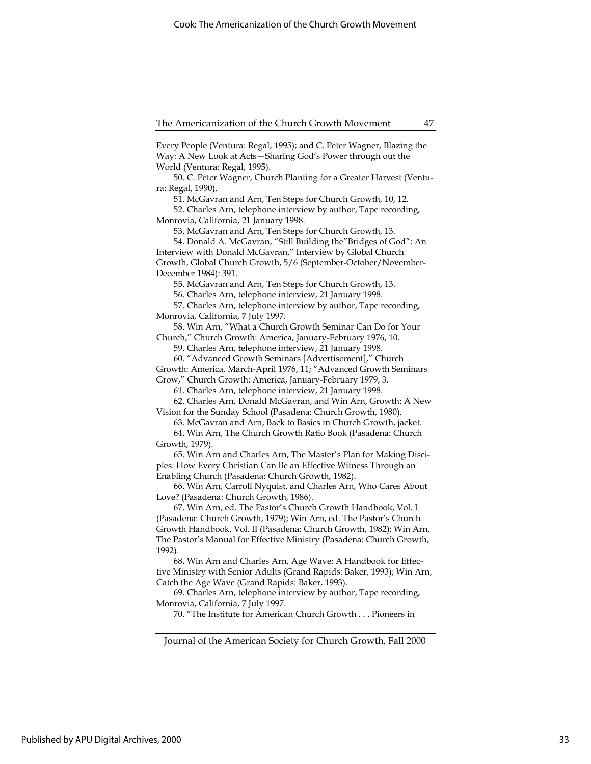Every People (Ventura: Regal, 1995); and C. Peter Wagner, Blazing the Way: A New Look at Acts—Sharing God's Power through out the World (Ventura: Regal, 1995).

50. C. Peter Wagner, Church Planting for a Greater Harvest (Ventura: Regal, 1990).

51. McGavran and Arn, Ten Steps for Church Growth, 10, 12.

52. Charles Arn, telephone interview by author, Tape recording, Monrovia, California, 21 January 1998.

53. McGavran and Arn, Ten Steps for Church Growth, 13.

54. Donald A. McGavran, "Still Building the"Bridges of God": An Interview with Donald McGavran," Interview by Global Church Growth, Global Church Growth, 5/6 (September-October/November-December 1984): 391.

55. McGavran and Arn, Ten Steps for Church Growth, 13.

56. Charles Arn, telephone interview, 21 January 1998.

57. Charles Arn, telephone interview by author, Tape recording, Monrovia, California, 7 July 1997.

58. Win Arn, "What a Church Growth Seminar Can Do for Your Church," Church Growth: America, January-February 1976, 10.

59. Charles Arn, telephone interview, 21 January 1998.

60. "Advanced Growth Seminars [Advertisement]," Church

Growth: America, March-April 1976, 11; "Advanced Growth Seminars Grow," Church Growth: America, January-February 1979, 3.

61. Charles Arn, telephone interview, 21 January 1998.

62. Charles Arn, Donald McGavran, and Win Arn, Growth: A New Vision for the Sunday School (Pasadena: Church Growth, 1980).

63. McGavran and Arn, Back to Basics in Church Growth, jacket. 64. Win Arn, The Church Growth Ratio Book (Pasadena: Church

Growth, 1979).

65. Win Arn and Charles Arn, The Master's Plan for Making Disciples: How Every Christian Can Be an Effective Witness Through an Enabling Church (Pasadena: Church Growth, 1982).

66. Win Arn, Carroll Nyquist, and Charles Arn, Who Cares About Love? (Pasadena: Church Growth, 1986).

67. Win Arn, ed. The Pastor's Church Growth Handbook, Vol. I (Pasadena: Church Growth, 1979); Win Arn, ed. The Pastor's Church Growth Handbook, Vol. II (Pasadena: Church Growth, 1982); Win Arn, The Pastor's Manual for Effective Ministry (Pasadena: Church Growth, 1992).

68. Win Arn and Charles Arn, Age Wave: A Handbook for Effective Ministry with Senior Adults (Grand Rapids: Baker, 1993); Win Arn, Catch the Age Wave (Grand Rapids: Baker, 1993).

69. Charles Arn, telephone interview by author, Tape recording, Monrovia, California, 7 July 1997.

70. "The Institute for American Church Growth . . . Pioneers in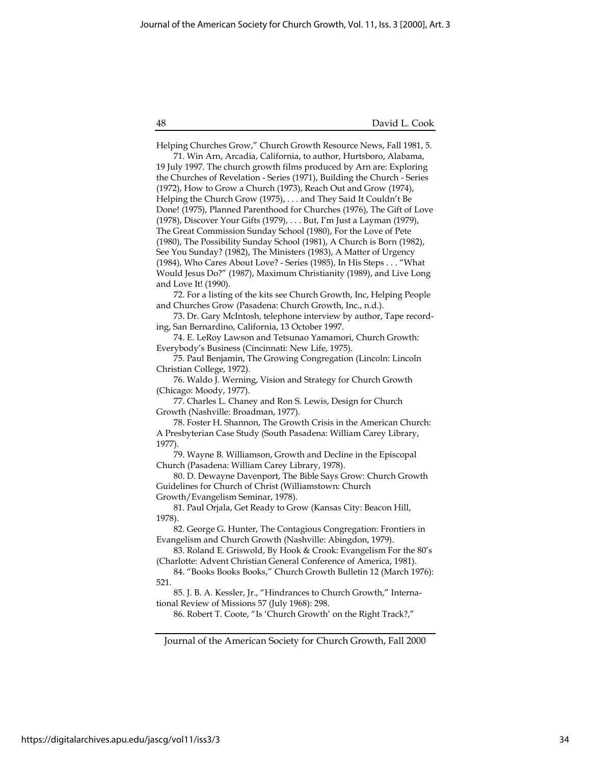48 David L. Cook

Journal of the American Society for Church Growth, Fall 2000 Helping Churches Grow," Church Growth Resource News, Fall 1981, 5. 71. Win Arn, Arcadia, California, to author, Hurtsboro, Alabama, 19 July 1997. The church growth films produced by Arn are: Exploring the Churches of Revelation - Series (1971), Building the Church - Series (1972), How to Grow a Church (1973), Reach Out and Grow (1974), Helping the Church Grow (1975), . . . and They Said It Couldn't Be Done! (1975), Planned Parenthood for Churches (1976), The Gift of Love (1978), Discover Your Gifts (1979), . . . But, I'm Just a Layman (1979), The Great Commission Sunday School (1980), For the Love of Pete (1980), The Possibility Sunday School (1981), A Church is Born (1982), See You Sunday? (1982), The Ministers (1983), A Matter of Urgency (1984), Who Cares About Love? - Series (1985), In His Steps . . . "What Would Jesus Do?" (1987), Maximum Christianity (1989), and Live Long and Love It! (1990). 72. For a listing of the kits see Church Growth, Inc, Helping People and Churches Grow (Pasadena: Church Growth, Inc., n.d.). 73. Dr. Gary McIntosh, telephone interview by author, Tape recording, San Bernardino, California, 13 October 1997. 74. E. LeRoy Lawson and Tetsunao Yamamori, Church Growth: Everybody's Business (Cincinnati: New Life, 1975). 75. Paul Benjamin, The Growing Congregation (Lincoln: Lincoln Christian College, 1972). 76. Waldo J. Werning, Vision and Strategy for Church Growth (Chicago: Moody, 1977). 77. Charles L. Chaney and Ron S. Lewis, Design for Church Growth (Nashville: Broadman, 1977). 78. Foster H. Shannon, The Growth Crisis in the American Church: A Presbyterian Case Study (South Pasadena: William Carey Library, 1977). 79. Wayne B. Williamson, Growth and Decline in the Episcopal Church (Pasadena: William Carey Library, 1978). 80. D. Dewayne Davenport, The Bible Says Grow: Church Growth Guidelines for Church of Christ (Williamstown: Church Growth/Evangelism Seminar, 1978). 81. Paul Orjala, Get Ready to Grow (Kansas City: Beacon Hill, 1978). 82. George G. Hunter, The Contagious Congregation: Frontiers in Evangelism and Church Growth (Nashville: Abingdon, 1979). 83. Roland E. Griswold, By Hook & Crook: Evangelism For the 80's (Charlotte: Advent Christian General Conference of America, 1981). 84. "Books Books Books," Church Growth Bulletin 12 (March 1976): 521. 85. J. B. A. Kessler, Jr., "Hindrances to Church Growth," International Review of Missions 57 (July 1968): 298. 86. Robert T. Coote, "Is 'Church Growth' on the Right Track?,"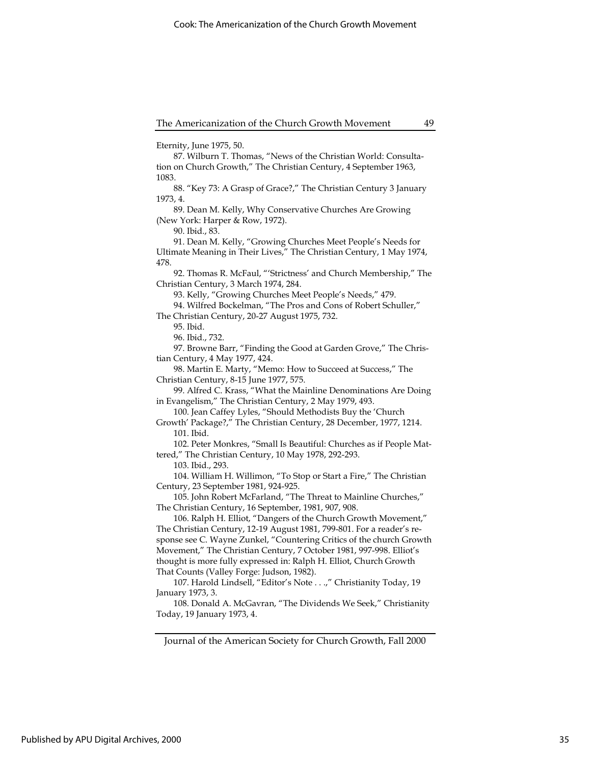Eternity, June 1975, 50.

87. Wilburn T. Thomas, "News of the Christian World: Consultation on Church Growth," The Christian Century, 4 September 1963, 1083.

88. "Key 73: A Grasp of Grace?," The Christian Century 3 January 1973, 4.

89. Dean M. Kelly, Why Conservative Churches Are Growing (New York: Harper & Row, 1972).

90. Ibid., 83.

91. Dean M. Kelly, "Growing Churches Meet People's Needs for Ultimate Meaning in Their Lives," The Christian Century, 1 May 1974, 478.

92. Thomas R. McFaul, "'Strictness' and Church Membership," The Christian Century, 3 March 1974, 284.

93. Kelly, "Growing Churches Meet People's Needs," 479.

94. Wilfred Bockelman, "The Pros and Cons of Robert Schuller," The Christian Century, 20-27 August 1975, 732.

95. Ibid.

96. Ibid., 732.

97. Browne Barr, "Finding the Good at Garden Grove," The Christian Century, 4 May 1977, 424.

98. Martin E. Marty, "Memo: How to Succeed at Success," The Christian Century, 8-15 June 1977, 575.

99. Alfred C. Krass, "What the Mainline Denominations Are Doing in Evangelism," The Christian Century, 2 May 1979, 493.

100. Jean Caffey Lyles, "Should Methodists Buy the 'Church

Growth' Package?," The Christian Century, 28 December, 1977, 1214. 101. Ibid.

102. Peter Monkres, "Small Is Beautiful: Churches as if People Mattered," The Christian Century, 10 May 1978, 292-293.

103. Ibid., 293.

104. William H. Willimon, "To Stop or Start a Fire," The Christian Century, 23 September 1981, 924-925.

105. John Robert McFarland, "The Threat to Mainline Churches," The Christian Century, 16 September, 1981, 907, 908.

106. Ralph H. Elliot, "Dangers of the Church Growth Movement," The Christian Century, 12-19 August 1981, 799-801. For a reader's response see C. Wayne Zunkel, "Countering Critics of the church Growth Movement," The Christian Century, 7 October 1981, 997-998. Elliot's thought is more fully expressed in: Ralph H. Elliot, Church Growth That Counts (Valley Forge: Judson, 1982).

107. Harold Lindsell, "Editor's Note . . .," Christianity Today, 19 January 1973, 3.

108. Donald A. McGavran, "The Dividends We Seek," Christianity Today, 19 January 1973, 4.

Journal of the American Society for Church Growth, Fall 2000